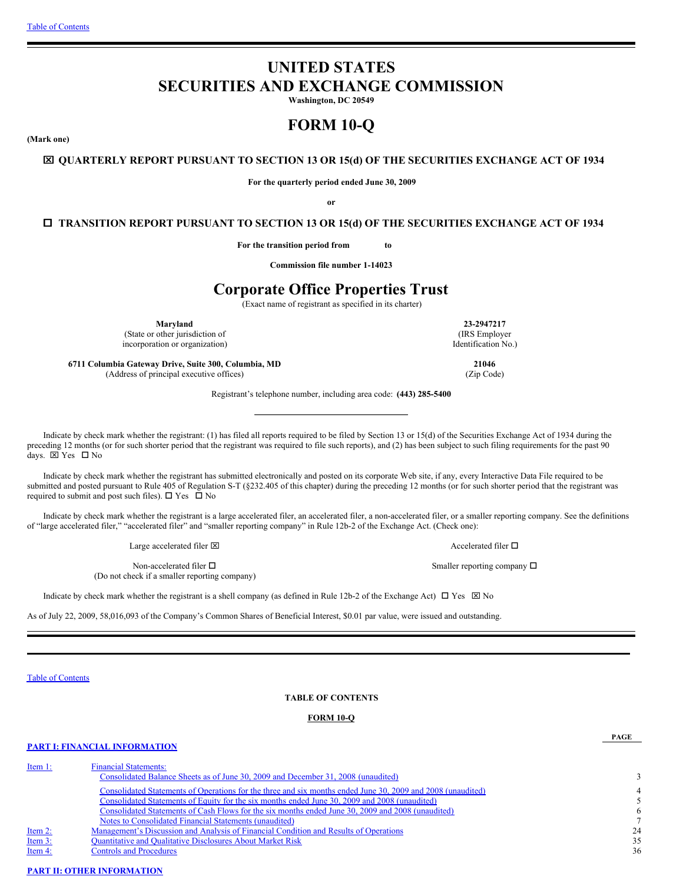# **UNITED STATES SECURITIES AND EXCHANGE COMMISSION**

**Washington, DC 20549**

# **FORM 10-Q**

**(Mark one)**

x **QUARTERLY REPORT PURSUANT TO SECTION 13 OR 15(d) OF THE SECURITIES EXCHANGE ACT OF 1934**

**For the quarterly period ended June 30, 2009**

**or**

o **TRANSITION REPORT PURSUANT TO SECTION 13 OR 15(d) OF THE SECURITIES EXCHANGE ACT OF 1934**

**For the transition period from to**

**Commission file number 1-14023**

# **Corporate Office Properties Trust**

(Exact name of registrant as specified in its charter)

**Maryland 23-2947217** (State or other jurisdiction of (IRS Employer incorporation or organization) Identification No.)

**PAGE**

**6711 Columbia Gateway Drive, Suite 300, Columbia, MD 21046** (Address of principal executive offices) (Zip Code)

Registrant's telephone number, including area code: **(443) 285-5400**

Indicate by check mark whether the registrant: (1) has filed all reports required to be filed by Section 13 or 15(d) of the Securities Exchange Act of 1934 during the preceding 12 months (or for such shorter period that the registrant was required to file such reports), and (2) has been subject to such filing requirements for the past 90 days.  $\boxtimes$  Yes  $\Box$  No

Indicate by check mark whether the registrant has submitted electronically and posted on its corporate Web site, if any, every Interactive Data File required to be submitted and posted pursuant to Rule 405 of Regulation S-T (§232.405 of this chapter) during the preceding 12 months (or for such shorter period that the registrant was required to submit and post such files).  $\Box$  Yes  $\Box$  No

Indicate by check mark whether the registrant is a large accelerated filer, an accelerated filer, a non-accelerated filer, or a smaller reporting company. See the definitions of "large accelerated filer," "accelerated filer" and "smaller reporting company" in Rule 12b-2 of the Exchange Act. (Check one):

Large accelerated filer  $\boxtimes$ 

Non-accelerated filer  $\square$ (Do not check if a smaller reporting company)

Indicate by check mark whether the registrant is a shell company (as defined in Rule 12b-2 of the Exchange Act)  $\Box$  Yes  $\boxtimes$  No

As of July 22, 2009, 58,016,093 of the Company's Common Shares of Beneficial Interest, \$0.01 par value, were issued and outstanding.

Table of [Contents](#page-0-0)

# <span id="page-0-0"></span>**TABLE OF CONTENTS**

# **FORM 10-Q**

# **PART I: FINANCIAL [INFORMATION](#page-1-0)**

| Item 1:    | <b>Financial Statements:</b>                                                                                |    |
|------------|-------------------------------------------------------------------------------------------------------------|----|
|            | Consolidated Balance Sheets as of June 30, 2009 and December 31, 2008 (unaudited)                           |    |
|            | Consolidated Statements of Operations for the three and six months ended June 30, 2009 and 2008 (unaudited) |    |
|            | Consolidated Statements of Equity for the six months ended June 30, 2009 and 2008 (unaudited)               |    |
|            | Consolidated Statements of Cash Flows for the six months ended June 30, 2009 and 2008 (unaudited)           | 6  |
|            | Notes to Consolidated Financial Statements (unaudited)                                                      |    |
| Item $2$ : | Management's Discussion and Analysis of Financial Condition and Results of Operations                       | 24 |
| Item $3$ : | <b>Ouantitative and Oualitative Disclosures About Market Risk</b>                                           | 35 |
| Item 4:    | <b>Controls and Procedures</b>                                                                              | 36 |

# **PART II: OTHER [INFORMATION](#page-20-2)**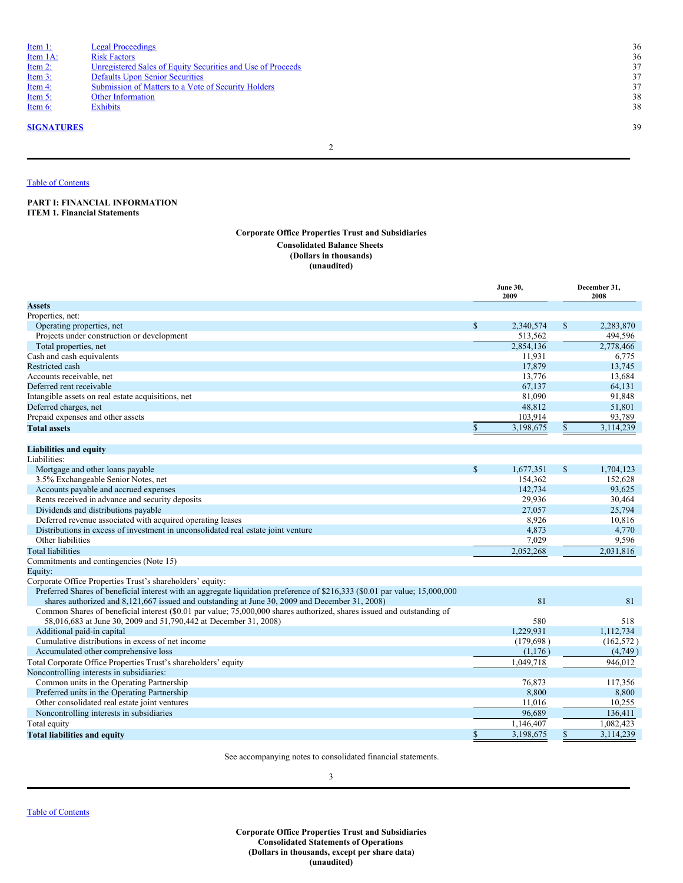### **[SIGNATURES](#page-22-0)** 39

<span id="page-1-2"></span>2

### Table of [Contents](#page-0-0)

### **PART I: FINANCIAL INFORMATION ITEM 1. Financial Statements**

### <span id="page-1-1"></span><span id="page-1-0"></span>**Corporate Office Properties Trust and Subsidiaries Consolidated Balance Sheets (Dollars in thousands) (unaudited)**

|                                                                                                                             |              | <b>June 30.</b><br>2009 | December 31,<br>2008 |            |  |
|-----------------------------------------------------------------------------------------------------------------------------|--------------|-------------------------|----------------------|------------|--|
| <b>Assets</b>                                                                                                               |              |                         |                      |            |  |
| Properties, net:                                                                                                            |              |                         |                      |            |  |
| Operating properties, net                                                                                                   | $\mathbf S$  | 2,340,574               | \$                   | 2,283,870  |  |
| Projects under construction or development                                                                                  |              | 513,562                 |                      | 494,596    |  |
| Total properties, net                                                                                                       |              | 2,854,136               |                      | 2,778,466  |  |
| Cash and cash equivalents                                                                                                   |              | 11,931                  |                      | 6,775      |  |
| Restricted cash                                                                                                             |              | 17,879                  |                      | 13,745     |  |
| Accounts receivable, net                                                                                                    |              | 13,776                  |                      | 13,684     |  |
| Deferred rent receivable                                                                                                    |              | 67,137                  |                      | 64,131     |  |
| Intangible assets on real estate acquisitions, net                                                                          |              | 81,090                  |                      | 91,848     |  |
| Deferred charges, net                                                                                                       |              | 48,812                  |                      | 51,801     |  |
| Prepaid expenses and other assets                                                                                           |              | 103,914                 |                      | 93,789     |  |
| <b>Total assets</b>                                                                                                         | $\mathbf S$  | 3,198,675               | $\mathbb{S}$         | 3,114,239  |  |
| <b>Liabilities and equity</b>                                                                                               |              |                         |                      |            |  |
| Liabilities:                                                                                                                |              |                         |                      |            |  |
| Mortgage and other loans payable                                                                                            | $\mathbb{S}$ | 1,677,351               | $\mathsf{\$}$        | 1,704,123  |  |
| 3.5% Exchangeable Senior Notes, net                                                                                         |              | 154,362                 |                      | 152,628    |  |
| Accounts payable and accrued expenses                                                                                       |              | 142,734                 |                      | 93,625     |  |
| Rents received in advance and security deposits                                                                             |              | 29.936                  |                      | 30,464     |  |
| Dividends and distributions payable                                                                                         |              | 27,057                  |                      | 25,794     |  |
| Deferred revenue associated with acquired operating leases                                                                  |              | 8,926                   |                      | 10,816     |  |
| Distributions in excess of investment in unconsolidated real estate joint venture                                           |              | 4,873                   |                      | 4,770      |  |
| Other liabilities                                                                                                           |              | 7,029                   |                      | 9,596      |  |
| <b>Total liabilities</b>                                                                                                    |              | 2,052,268               |                      | 2,031,816  |  |
| Commitments and contingencies (Note 15)                                                                                     |              |                         |                      |            |  |
| Equity:                                                                                                                     |              |                         |                      |            |  |
| Corporate Office Properties Trust's shareholders' equity:                                                                   |              |                         |                      |            |  |
| Preferred Shares of beneficial interest with an aggregate liquidation preference of \$216,333 (\$0.01 par value; 15,000,000 |              |                         |                      |            |  |
| shares authorized and 8,121,667 issued and outstanding at June 30, 2009 and December 31, 2008)                              |              | 81                      |                      | 81         |  |
| Common Shares of beneficial interest (\$0.01 par value; 75,000,000 shares authorized, shares issued and outstanding of      |              |                         |                      |            |  |
| 58,016,683 at June 30, 2009 and 51,790,442 at December 31, 2008)                                                            |              | 580                     |                      | 518        |  |
| Additional paid-in capital                                                                                                  |              | 1,229,931               |                      | 1,112,734  |  |
| Cumulative distributions in excess of net income                                                                            |              | (179, 698)              |                      | (162, 572) |  |
| Accumulated other comprehensive loss                                                                                        |              | (1,176)                 |                      | (4,749)    |  |
| Total Corporate Office Properties Trust's shareholders' equity                                                              |              | 1,049,718               |                      | 946,012    |  |
| Noncontrolling interests in subsidiaries:                                                                                   |              |                         |                      |            |  |
| Common units in the Operating Partnership                                                                                   |              | 76,873                  |                      | 117,356    |  |
| Preferred units in the Operating Partnership                                                                                |              | 8,800                   |                      | 8,800      |  |
| Other consolidated real estate joint ventures                                                                               |              | 11,016                  |                      | 10,255     |  |
| Noncontrolling interests in subsidiaries                                                                                    |              | 96,689                  |                      | 136,411    |  |
| Total equity                                                                                                                |              | 1,146,407               |                      | 1,082,423  |  |
|                                                                                                                             |              | 3,198,675               |                      |            |  |
| <b>Total liabilities and equity</b>                                                                                         | $\mathbb{S}$ |                         | \$                   | 3,114,239  |  |

See accompanying notes to consolidated financial statements.

<span id="page-1-3"></span>**Corporate Office Properties Trust and Subsidiaries Consolidated Statements of Operations (Dollars in thousands, except per share data) (unaudited)**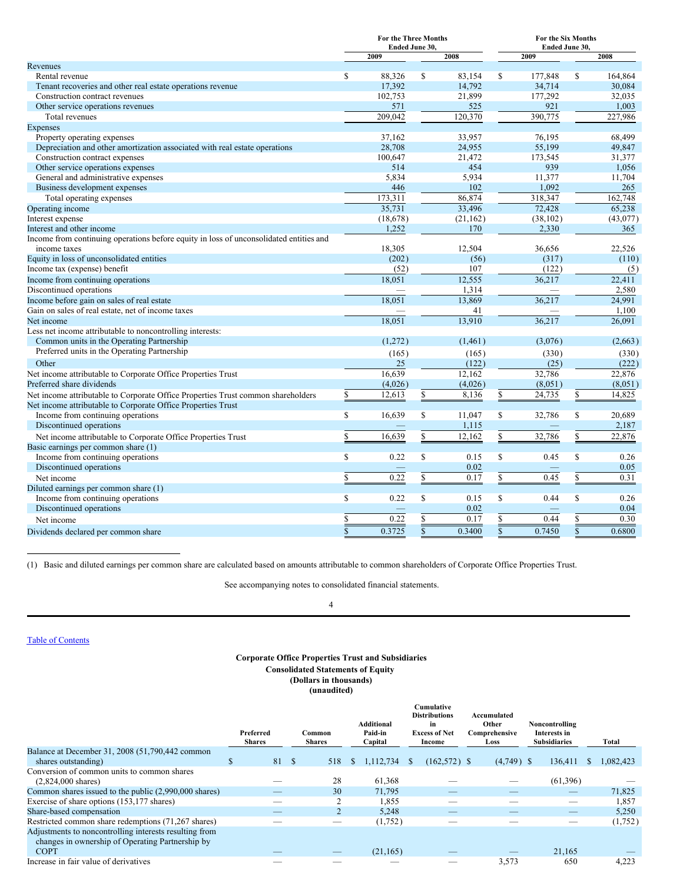|                                                                                        | <b>For the Three Months</b><br>For the Six Months<br><b>Ended June 30,</b><br>Ended June 30, |           |              |           |              |           |             |          |  |
|----------------------------------------------------------------------------------------|----------------------------------------------------------------------------------------------|-----------|--------------|-----------|--------------|-----------|-------------|----------|--|
|                                                                                        |                                                                                              | 2009      |              | 2008      |              | 2009      |             | 2008     |  |
| Revenues                                                                               |                                                                                              |           |              |           |              |           |             |          |  |
| Rental revenue                                                                         | \$                                                                                           | 88.326    | S.           | 83.154    | $\mathbf S$  | 177,848   | \$          | 164,864  |  |
| Tenant recoveries and other real estate operations revenue                             |                                                                                              | 17.392    |              | 14.792    |              | 34,714    |             | 30.084   |  |
| Construction contract revenues                                                         |                                                                                              | 102,753   |              | 21,899    |              | 177,292   |             | 32,035   |  |
| Other service operations revenues                                                      |                                                                                              | 571       |              | 525       |              | 921       |             | 1,003    |  |
| Total revenues                                                                         |                                                                                              | 209.042   |              | 120,370   |              | 390,775   |             | 227,986  |  |
| Expenses                                                                               |                                                                                              |           |              |           |              |           |             |          |  |
| Property operating expenses                                                            |                                                                                              | 37,162    |              | 33,957    |              | 76,195    |             | 68,499   |  |
| Depreciation and other amortization associated with real estate operations             |                                                                                              | 28,708    |              | 24,955    |              | 55,199    |             | 49,847   |  |
| Construction contract expenses                                                         |                                                                                              | 100,647   |              | 21,472    |              | 173,545   |             | 31,377   |  |
| Other service operations expenses                                                      |                                                                                              | 514       |              | 454       |              | 939       |             | 1,056    |  |
| General and administrative expenses                                                    |                                                                                              | 5,834     |              | 5,934     |              | 11,377    |             | 11,704   |  |
| Business development expenses                                                          |                                                                                              | 446       |              | 102       |              | 1,092     |             | 265      |  |
| Total operating expenses                                                               |                                                                                              | 173,311   |              | 86,874    |              | 318,347   |             | 162,748  |  |
| Operating income                                                                       |                                                                                              | 35,731    |              | 33,496    |              | 72,428    |             | 65,238   |  |
| Interest expense                                                                       |                                                                                              | (18, 678) |              | (21, 162) |              | (38, 102) |             | (43,077) |  |
| Interest and other income                                                              |                                                                                              | 1,252     |              | 170       |              | 2,330     |             | 365      |  |
| Income from continuing operations before equity in loss of unconsolidated entities and |                                                                                              |           |              |           |              |           |             |          |  |
| income taxes                                                                           |                                                                                              | 18.305    |              | 12,504    |              | 36.656    |             | 22.526   |  |
| Equity in loss of unconsolidated entities                                              |                                                                                              | (202)     |              | (56)      |              | (317)     |             | (110)    |  |
| Income tax (expense) benefit                                                           |                                                                                              | (52)      |              | 107       |              | (122)     |             | (5)      |  |
| Income from continuing operations                                                      |                                                                                              | 18.051    |              | 12,555    |              | 36.217    |             | 22.411   |  |
| Discontinued operations                                                                |                                                                                              |           |              | 1,314     |              |           |             | 2,580    |  |
| Income before gain on sales of real estate                                             |                                                                                              | 18,051    |              | 13,869    |              | 36,217    |             | 24.991   |  |
| Gain on sales of real estate, net of income taxes                                      |                                                                                              |           |              | 41        |              |           |             | 1,100    |  |
| Net income                                                                             |                                                                                              | 18,051    |              | 13,910    |              | 36,217    |             | 26.091   |  |
| Less net income attributable to noncontrolling interests:                              |                                                                                              |           |              |           |              |           |             |          |  |
| Common units in the Operating Partnership                                              |                                                                                              | (1,272)   |              | (1, 461)  |              | (3,076)   |             | (2,663)  |  |
| Preferred units in the Operating Partnership                                           |                                                                                              | (165)     |              | (165)     |              | (330)     |             | (330)    |  |
| Other                                                                                  |                                                                                              | 25        |              | (122)     |              | (25)      |             | (222)    |  |
| Net income attributable to Corporate Office Properties Trust                           |                                                                                              | 16.639    |              | 12.162    |              | 32,786    |             | 22.876   |  |
| Preferred share dividends                                                              |                                                                                              | (4,026)   |              | (4,026)   |              | (8,051)   |             | (8,051)  |  |
| Net income attributable to Corporate Office Properties Trust common shareholders       | \$                                                                                           | 12,613    | \$           | 8,136     | \$           | 24,735    | \$          | 14,825   |  |
| Net income attributable to Corporate Office Properties Trust                           |                                                                                              |           |              |           |              |           |             |          |  |
| Income from continuing operations                                                      | \$                                                                                           | 16,639    | \$           | 11,047    | \$           | 32,786    | \$          | 20.689   |  |
| Discontinued operations                                                                |                                                                                              |           |              | 1,115     |              |           |             | 2,187    |  |
| Net income attributable to Corporate Office Properties Trust                           | \$                                                                                           | 16,639    | \$           | 12,162    | \$           | 32,786    | \$          | 22,876   |  |
| Basic earnings per common share (1)                                                    |                                                                                              |           |              |           |              |           |             |          |  |
| Income from continuing operations                                                      | \$                                                                                           | 0.22      | \$           | 0.15      | $\mathbb{S}$ | 0.45      | \$          | 0.26     |  |
| Discontinued operations                                                                |                                                                                              |           |              | 0.02      |              |           |             | 0.05     |  |
|                                                                                        | \$                                                                                           | 0.22      |              | 0.17      | \$           | 0.45      |             | 0.31     |  |
| Net income                                                                             |                                                                                              |           | \$           |           |              |           | \$          |          |  |
| Diluted earnings per common share (1)                                                  |                                                                                              |           |              |           |              |           |             |          |  |
| Income from continuing operations                                                      | \$                                                                                           | 0.22      | S            | 0.15      | S.           | 0.44      | S           | 0.26     |  |
| Discontinued operations                                                                |                                                                                              |           |              | 0.02      |              |           |             | 0.04     |  |
| Net income                                                                             | \$                                                                                           | 0.22      | \$           | 0.17      | \$           | 0.44      | \$          | 0.30     |  |
| Dividends declared per common share                                                    | $\mathbf S$                                                                                  | 0.3725    | $\mathbb{S}$ | 0.3400    | \$           | 0.7450    | $\mathbf S$ | 0.6800   |  |

(1) Basic and diluted earnings per common share are calculated based on amounts attributable to common shareholders of Corporate Office Properties Trust.

See accompanying notes to consolidated financial statements.

<span id="page-2-0"></span>4

# Table of [Contents](#page-0-0)

# **Corporate Office Properties Trust and Subsidiaries Consolidated Statements of Equity (Dollars in thousands)**

**(unaudited)**

|                                                                                                            | Preferred<br><b>Shares</b> |              | Common<br><b>Shares</b> |              | <b>Additional</b><br>Paid-in<br>Capital |          | Cumulative<br><b>Distributions</b><br>in<br><b>Excess of Net</b><br>Income | Accumulated<br>Other<br>Comprehensive<br>Loss | Noncontrolling<br>Interests in<br><b>Subsidiaries</b> |   | Total     |
|------------------------------------------------------------------------------------------------------------|----------------------------|--------------|-------------------------|--------------|-----------------------------------------|----------|----------------------------------------------------------------------------|-----------------------------------------------|-------------------------------------------------------|---|-----------|
| Balance at December 31, 2008 (51,790,442 common                                                            |                            |              |                         |              |                                         |          |                                                                            |                                               |                                                       |   |           |
| shares outstanding)                                                                                        | \$<br>81                   | <sup>S</sup> | 518                     | <sup>S</sup> | 1,112,734                               | $\sim$ S | $(162,572)$ \$                                                             | $(4,749)$ \$                                  | 136,411                                               | S | 1,082,423 |
| Conversion of common units to common shares                                                                |                            |              |                         |              |                                         |          |                                                                            |                                               |                                                       |   |           |
| $(2,824,000 \text{ shares})$                                                                               |                            |              | 28                      |              | 61,368                                  |          |                                                                            |                                               | (61,396)                                              |   |           |
| Common shares issued to the public (2,990,000 shares)                                                      |                            |              | 30                      |              | 71,795                                  |          |                                                                            |                                               | $\qquad \qquad - \qquad$                              |   | 71,825    |
| Exercise of share options (153,177 shares)                                                                 | --                         |              | ∍                       |              | 1,855                                   |          |                                                                            |                                               | -                                                     |   | 1,857     |
| Share-based compensation                                                                                   | _                          |              | 2                       |              | 5,248                                   |          | _                                                                          | _                                             |                                                       |   | 5,250     |
| Restricted common share redemptions (71,267 shares)                                                        |                            |              | _                       |              | (1,752)                                 |          |                                                                            |                                               | -                                                     |   | (1,752)   |
| Adjustments to noncontrolling interests resulting from<br>changes in ownership of Operating Partnership by |                            |              |                         |              |                                         |          |                                                                            |                                               |                                                       |   |           |
| <b>COPT</b>                                                                                                |                            |              |                         |              | (21, 165)                               |          |                                                                            |                                               | 21,165                                                |   |           |
| Increase in fair value of derivatives                                                                      |                            |              |                         |              |                                         |          |                                                                            | 3,573                                         | 650                                                   |   | 4.223     |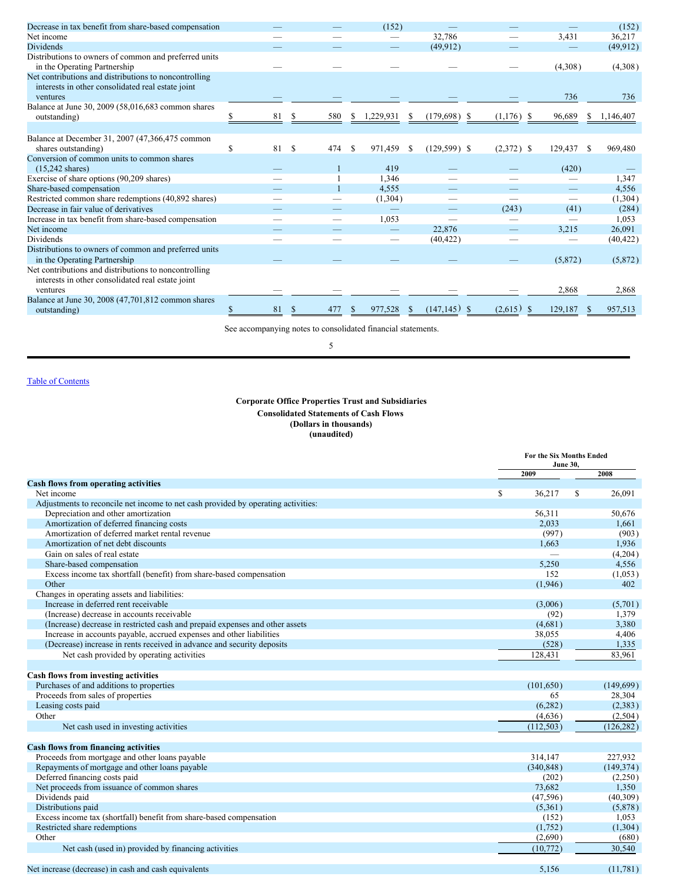| Decrease in tax benefit from share-based compensation                                                                  |    |    |               |     |    | (152)     |    |                 |    |              |     |         |    | (152)     |
|------------------------------------------------------------------------------------------------------------------------|----|----|---------------|-----|----|-----------|----|-----------------|----|--------------|-----|---------|----|-----------|
| Net income                                                                                                             |    |    |               |     |    |           |    | 32.786          |    |              |     | 3,431   |    | 36,217    |
| <b>Dividends</b>                                                                                                       |    |    |               |     |    |           |    | (49, 912)       |    |              |     |         |    | (49, 912) |
| Distributions to owners of common and preferred units<br>in the Operating Partnership                                  |    |    |               |     |    |           |    |                 |    |              |     | (4,308) |    | (4,308)   |
| Net contributions and distributions to noncontrolling<br>interests in other consolidated real estate joint<br>ventures |    |    |               |     |    |           |    |                 |    |              |     | 736     |    | 736       |
| Balance at June 30, 2009 (58,016,683 common shares<br>outstanding)                                                     |    | 81 | -S            | 580 | S. | 1,229,931 | S  | $(179,698)$ \$  |    | (1,176)      | -S  | 96,689  | S  | 1,146,407 |
| Balance at December 31, 2007 (47,366,475 common<br>shares outstanding)                                                 | S. | 81 | <sup>\$</sup> | 474 | -S | 971,459   | -S | $(129, 599)$ \$ |    | $(2,372)$ \$ |     | 129,437 | -S | 969,480   |
| Conversion of common units to common shares<br>$(15,242 \text{ shares})$                                               |    |    |               |     |    | 419       |    |                 |    |              |     | (420)   |    |           |
| Exercise of share options (90,209 shares)                                                                              |    |    |               |     |    | 1.346     |    |                 |    |              |     |         |    | 1,347     |
| Share-based compensation                                                                                               |    |    |               |     |    | 4,555     |    |                 |    |              |     |         |    | 4,556     |
| Restricted common share redemptions (40,892 shares)                                                                    |    |    |               |     |    | (1,304)   |    |                 |    |              |     |         |    | (1,304)   |
| Decrease in fair value of derivatives                                                                                  |    |    |               |     |    |           |    |                 |    | (243)        |     | (41)    |    | (284)     |
| Increase in tax benefit from share-based compensation                                                                  |    |    |               |     |    | 1,053     |    |                 |    |              |     |         |    | 1,053     |
| Net income                                                                                                             |    |    |               |     |    |           |    | 22,876          |    |              |     | 3,215   |    | 26,091    |
| <b>Dividends</b>                                                                                                       |    |    |               |     |    |           |    | (40, 422)       |    | _            |     |         |    | (40, 422) |
| Distributions to owners of common and preferred units<br>in the Operating Partnership                                  |    |    |               |     |    |           |    |                 |    |              |     | (5,872) |    | (5,872)   |
| Net contributions and distributions to noncontrolling<br>interests in other consolidated real estate joint<br>ventures |    |    |               |     |    |           |    |                 |    |              |     | 2,868   |    | 2,868     |
| Balance at June 30, 2008 (47,701,812 common shares<br>outstanding)                                                     |    | 81 | \$.           | 477 |    | 977.528   |    | (147, 145)      | -8 | (2,615)      | -\$ | 129.187 |    | 957,513   |
|                                                                                                                        |    |    |               |     |    |           |    |                 |    |              |     |         |    |           |

See accompanying notes to consolidated financial statements.

<span id="page-3-0"></span>5

# Table of [Contents](#page-0-0)

# **Corporate Office Properties Trust and Subsidiaries Consolidated Statements of Cash Flows (Dollars in thousands) (unaudited)**

|                                                                                   | For the Six Months Ended<br><b>June 30.</b> |             |
|-----------------------------------------------------------------------------------|---------------------------------------------|-------------|
|                                                                                   | 2009                                        | 2008        |
| <b>Cash flows from operating activities</b>                                       |                                             |             |
| Net income                                                                        | S<br>36,217                                 | 26.091<br>S |
| Adjustments to reconcile net income to net cash provided by operating activities: |                                             |             |
| Depreciation and other amortization                                               | 56,311                                      | 50,676      |
| Amortization of deferred financing costs                                          | 2,033                                       | 1,661       |
| Amortization of deferred market rental revenue                                    | (997)                                       | (903)       |
| Amortization of net debt discounts                                                | 1.663                                       | 1,936       |
| Gain on sales of real estate                                                      |                                             | (4,204)     |
| Share-based compensation                                                          | 5,250                                       | 4,556       |
| Excess income tax shortfall (benefit) from share-based compensation               | 152                                         | (1,053)     |
| Other                                                                             | (1,946)                                     | 402         |
| Changes in operating assets and liabilities:                                      |                                             |             |
| Increase in deferred rent receivable                                              | (3,006)                                     | (5,701)     |
| (Increase) decrease in accounts receivable                                        | (92)                                        | 1,379       |
| (Increase) decrease in restricted cash and prepaid expenses and other assets      | (4,681)                                     | 3,380       |
| Increase in accounts payable, accrued expenses and other liabilities              | 38,055                                      | 4,406       |
| (Decrease) increase in rents received in advance and security deposits            | (528)                                       | 1,335       |
| Net cash provided by operating activities                                         | 128,431                                     | 83,961      |
| Cash flows from investing activities                                              |                                             |             |
| Purchases of and additions to properties                                          | (101, 650)                                  | (149,699)   |
| Proceeds from sales of properties                                                 | 65                                          | 28,304      |
| Leasing costs paid                                                                | (6,282)                                     | (2,383)     |
| Other                                                                             | (4,636)                                     | (2,504)     |
| Net cash used in investing activities                                             | (112, 503)                                  | (126, 282)  |
|                                                                                   |                                             |             |
| <b>Cash flows from financing activities</b>                                       |                                             |             |
| Proceeds from mortgage and other loans payable                                    | 314,147                                     | 227,932     |
| Repayments of mortgage and other loans payable                                    | (340, 848)                                  | (149, 374)  |
| Deferred financing costs paid                                                     | (202)                                       | (2,250)     |
| Net proceeds from issuance of common shares                                       | 73,682                                      | 1,350       |
| Dividends paid                                                                    | (47, 596)                                   | (40,309)    |
| Distributions paid                                                                | (5,361)                                     | (5,878)     |
| Excess income tax (shortfall) benefit from share-based compensation               | (152)                                       | 1,053       |
| Restricted share redemptions                                                      | (1,752)                                     | (1,304)     |
| Other                                                                             | (2,690)                                     | (680)       |
| Net cash (used in) provided by financing activities                               | (10, 772)                                   | 30,540      |
|                                                                                   |                                             |             |
| Net increase (decrease) in cash and cash equivalents                              | 5.156                                       | (11, 781)   |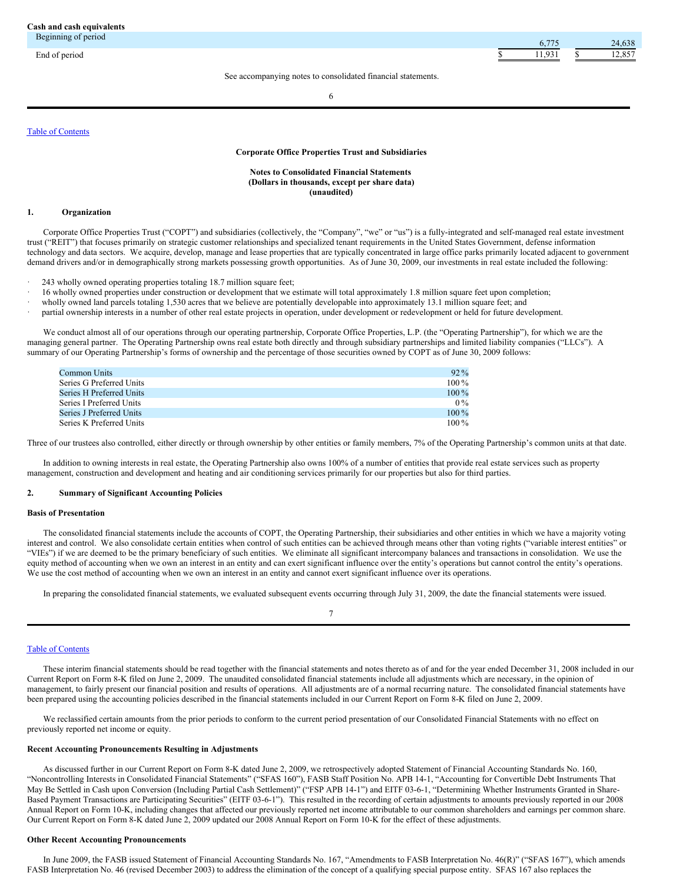| Cash and cash equivalents |       |        |
|---------------------------|-------|--------|
| Beginning of period       |       |        |
|                           |       | 24.638 |
| End of period             | 11931 | 12,857 |

See accompanying notes to consolidated financial statements.

<span id="page-4-0"></span>6

#### Table of [Contents](#page-0-0)

### **Corporate Office Properties Trust and Subsidiaries**

### **Notes to Consolidated Financial Statements (Dollars in thousands, except per share data) (unaudited)**

#### **1. Organization**

Corporate Office Properties Trust ("COPT") and subsidiaries (collectively, the "Company", "we" or "us") is a fully-integrated and self-managed real estate investment trust ("REIT") that focuses primarily on strategic customer relationships and specialized tenant requirements in the United States Government, defense information technology and data sectors. We acquire, develop, manage and lease properties that are typically concentrated in large office parks primarily located adjacent to government demand drivers and/or in demographically strong markets possessing growth opportunities. As of June 30, 2009, our investments in real estate included the following:

- 243 wholly owned operating properties totaling 18.7 million square feet;
- · 16 wholly owned properties under construction or development that we estimate will total approximately 1.8 million square feet upon completion;
- wholly owned land parcels totaling 1,530 acres that we believe are potentially developable into approximately 13.1 million square feet; and
- partial ownership interests in a number of other real estate projects in operation, under development or redevelopment or held for future development.

We conduct almost all of our operations through our operating partnership, Corporate Office Properties, L.P. (the "Operating Partnership"), for which we are the managing general partner. The Operating Partnership owns real estate both directly and through subsidiary partnerships and limited liability companies ("LLCs"). A summary of our Operating Partnership's forms of ownership and the percentage of those securities owned by COPT as of June 30, 2009 follows:

| Common Units             | $92\%$  |
|--------------------------|---------|
| Series G Preferred Units | $100\%$ |
| Series H Preferred Units | 100 %   |
| Series I Preferred Units | $0\%$   |
| Series J Preferred Units | $100\%$ |
| Series K Preferred Units | $100\%$ |

Three of our trustees also controlled, either directly or through ownership by other entities or family members, 7% of the Operating Partnership's common units at that date.

In addition to owning interests in real estate, the Operating Partnership also owns 100% of a number of entities that provide real estate services such as property management, construction and development and heating and air conditioning services primarily for our properties but also for third parties.

#### **2. Summary of Significant Accounting Policies**

#### **Basis of Presentation**

The consolidated financial statements include the accounts of COPT, the Operating Partnership, their subsidiaries and other entities in which we have a majority voting interest and control. We also consolidate certain entities when control of such entities can be achieved through means other than voting rights ("variable interest entities" or "VIEs") if we are deemed to be the primary beneficiary of such entities. We eliminate all significant intercompany balances and transactions in consolidation. We use the equity method of accounting when we own an interest in an entity and can exert significant influence over the entity's operations but cannot control the entity's operations. We use the cost method of accounting when we own an interest in an entity and cannot exert significant influence over its operations.

In preparing the consolidated financial statements, we evaluated subsequent events occurring through July 31, 2009, the date the financial statements were issued.

# 7

#### Table of [Contents](#page-0-0)

These interim financial statements should be read together with the financial statements and notes thereto as of and for the year ended December 31, 2008 included in our Current Report on Form 8-K filed on June 2, 2009. The unaudited consolidated financial statements include all adjustments which are necessary, in the opinion of management, to fairly present our financial position and results of operations. All adjustments are of a normal recurring nature. The consolidated financial statements have been prepared using the accounting policies described in the financial statements included in our Current Report on Form 8-K filed on June 2, 2009.

We reclassified certain amounts from the prior periods to conform to the current period presentation of our Consolidated Financial Statements with no effect on previously reported net income or equity.

#### **Recent Accounting Pronouncements Resulting in Adjustments**

As discussed further in our Current Report on Form 8-K dated June 2, 2009, we retrospectively adopted Statement of Financial Accounting Standards No. 160, "Noncontrolling Interests in Consolidated Financial Statements" ("SFAS 160"), FASB Staff Position No. APB 14-1, "Accounting for Convertible Debt Instruments That May Be Settled in Cash upon Conversion (Including Partial Cash Settlement)" ("FSP APB 14-1") and EITF 03-6-1, "Determining Whether Instruments Granted in Share-Based Payment Transactions are Participating Securities" (EITF 03-6-1"). This resulted in the recording of certain adjustments to amounts previously reported in our 2008 Annual Report on Form 10-K, including changes that affected our previously reported net income attributable to our common shareholders and earnings per common share. Our Current Report on Form 8-K dated June 2, 2009 updated our 2008 Annual Report on Form 10-K for the effect of these adjustments.

#### **Other Recent Accounting Pronouncements**

In June 2009, the FASB issued Statement of Financial Accounting Standards No. 167, "Amendments to FASB Interpretation No. 46(R)" ("SFAS 167"), which amends FASB Interpretation No. 46 (revised December 2003) to address the elimination of the concept of a qualifying special purpose entity. SFAS 167 also replaces the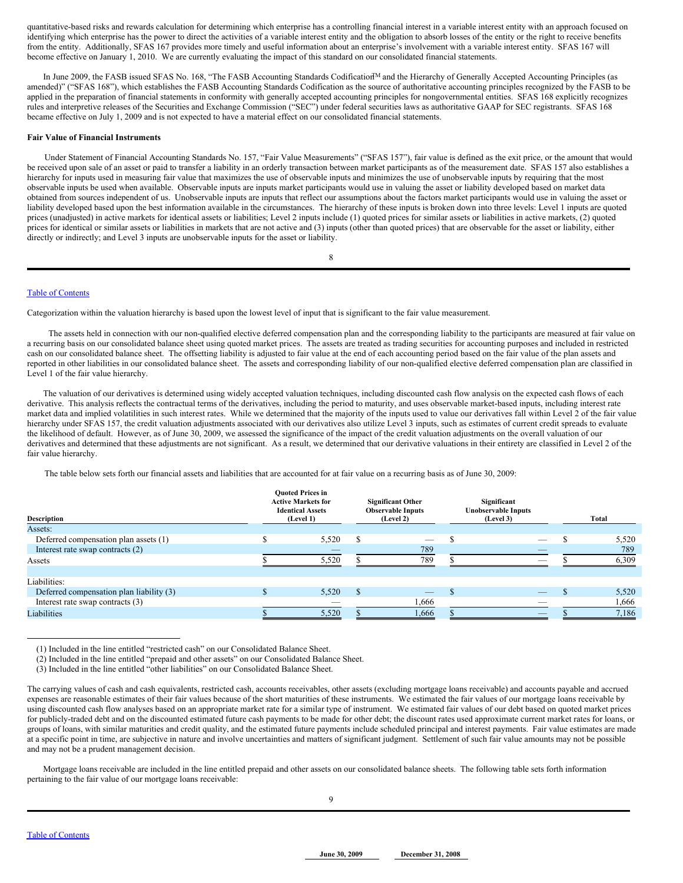quantitative-based risks and rewards calculation for determining which enterprise has a controlling financial interest in a variable interest entity with an approach focused on identifying which enterprise has the power to direct the activities of a variable interest entity and the obligation to absorb losses of the entity or the right to receive benefits from the entity. Additionally, SFAS 167 provides more timely and useful information about an enterprise's involvement with a variable interest entity. SFAS 167 will become effective on January 1, 2010. We are currently evaluating the impact of this standard on our consolidated financial statements.

In June 2009, the FASB issued SFAS No. 168, "The FASB Accounting Standards Codification<sup>TM</sup> and the Hierarchy of Generally Accepted Accounting Principles (as amended)" ("SFAS 168"), which establishes the FASB Accounting Standards Codification as the source of authoritative accounting principles recognized by the FASB to be applied in the preparation of financial statements in conformity with generally accepted accounting principles for nongovernmental entities. SFAS 168 explicitly recognizes rules and interpretive releases of the Securities and Exchange Commission ("SEC") under federal securities laws as authoritative GAAP for SEC registrants. SFAS 168 became effective on July 1, 2009 and is not expected to have a material effect on our consolidated financial statements.

#### **Fair Value of Financial Instruments**

Under Statement of Financial Accounting Standards No. 157, "Fair Value Measurements" ("SFAS 157"), fair value is defined as the exit price, or the amount that would be received upon sale of an asset or paid to transfer a liability in an orderly transaction between market participants as of the measurement date. SFAS 157 also establishes a hierarchy for inputs used in measuring fair value that maximizes the use of observable inputs and minimizes the use of unobservable inputs by requiring that the most observable inputs be used when available. Observable inputs are inputs market participants would use in valuing the asset or liability developed based on market data obtained from sources independent of us. Unobservable inputs are inputs that reflect our assumptions about the factors market participants would use in valuing the asset or liability developed based upon the best information available in the circumstances. The hierarchy of these inputs is broken down into three levels: Level 1 inputs are quoted prices (unadjusted) in active markets for identical assets or liabilities; Level 2 inputs include (1) quoted prices for similar assets or liabilities in active markets, (2) quoted prices for identical or similar assets or liabilities in markets that are not active and (3) inputs (other than quoted prices) that are observable for the asset or liability, either directly or indirectly; and Level 3 inputs are unobservable inputs for the asset or liability.

#### Table of [Contents](#page-0-0)

Categorization within the valuation hierarchy is based upon the lowest level of input that is significant to the fair value measurement.

The assets held in connection with our non-qualified elective deferred compensation plan and the corresponding liability to the participants are measured at fair value on a recurring basis on our consolidated balance sheet using quoted market prices. The assets are treated as trading securities for accounting purposes and included in restricted cash on our consolidated balance sheet. The offsetting liability is adjusted to fair value at the end of each accounting period based on the fair value of the plan assets and reported in other liabilities in our consolidated balance sheet. The assets and corresponding liability of our non-qualified elective deferred compensation plan are classified in Level 1 of the fair value hierarchy.

The valuation of our derivatives is determined using widely accepted valuation techniques, including discounted cash flow analysis on the expected cash flows of each derivative. This analysis reflects the contractual terms of the derivatives, including the period to maturity, and uses observable market-based inputs, including interest rate market data and implied volatilities in such interest rates. While we determined that the majority of the inputs used to value our derivatives fall within Level 2 of the fair value hierarchy under SFAS 157, the credit valuation adjustments associated with our derivatives also utilize Level 3 inputs, such as estimates of current credit spreads to evaluate the likelihood of default. However, as of June 30, 2009, we assessed the significance of the impact of the credit valuation adjustments on the overall valuation of our derivatives and determined that these adjustments are not significant. As a result, we determined that our derivative valuations in their entirety are classified in Level 2 of the fair value hierarchy.

The table below sets forth our financial assets and liabilities that are accounted for at fair value on a recurring basis as of June 30, 2009:

| Description                              |  | <b>Ouoted Prices in</b><br><b>Active Markets for</b><br><b>Identical Assets</b><br>(Level 1) |    | <b>Significant Other</b><br><b>Observable Inputs</b><br>(Level 2) |  | Significant<br><b>Unobservable Inputs</b><br>(Level 3) | Total |
|------------------------------------------|--|----------------------------------------------------------------------------------------------|----|-------------------------------------------------------------------|--|--------------------------------------------------------|-------|
|                                          |  |                                                                                              |    |                                                                   |  |                                                        |       |
| Assets:                                  |  |                                                                                              |    |                                                                   |  |                                                        |       |
| Deferred compensation plan assets (1)    |  | 5,520                                                                                        | S  | _                                                                 |  |                                                        | 5,520 |
| Interest rate swap contracts (2)         |  |                                                                                              |    | 789                                                               |  | $\overline{\phantom{a}}$                               | 789   |
| Assets                                   |  | 5,520                                                                                        |    | 789                                                               |  | $\overline{\phantom{a}}$                               | 6,309 |
|                                          |  |                                                                                              |    |                                                                   |  |                                                        |       |
| Liabilities:                             |  |                                                                                              |    |                                                                   |  |                                                        |       |
| Deferred compensation plan liability (3) |  | 5,520                                                                                        | \$ | $\overline{\phantom{a}}$                                          |  |                                                        | 5,520 |
| Interest rate swap contracts (3)         |  | __                                                                                           |    | 1,666                                                             |  |                                                        | 1,666 |
| Liabilities                              |  | 5,520                                                                                        |    | 1,666                                                             |  | $-$                                                    | 7,186 |
|                                          |  |                                                                                              |    |                                                                   |  |                                                        |       |

<sup>(1)</sup> Included in the line entitled "restricted cash" on our Consolidated Balance Sheet.

Mortgage loans receivable are included in the line entitled prepaid and other assets on our consolidated balance sheets. The following table sets forth information pertaining to the fair value of our mortgage loans receivable:

**June 30, 2009 December 31, 2008**

<sup>(2)</sup> Included in the line entitled "prepaid and other assets" on our Consolidated Balance Sheet.

<sup>(3)</sup> Included in the line entitled "other liabilities" on our Consolidated Balance Sheet.

The carrying values of cash and cash equivalents, restricted cash, accounts receivables, other assets (excluding mortgage loans receivable) and accounts payable and accrued expenses are reasonable estimates of their fair values because of the short maturities of these instruments. We estimated the fair values of our mortgage loans receivable by using discounted cash flow analyses based on an appropriate market rate for a similar type of instrument. We estimated fair values of our debt based on quoted market prices for publicly-traded debt and on the discounted estimated future cash payments to be made for other debt; the discount rates used approximate current market rates for loans, or groups of loans, with similar maturities and credit quality, and the estimated future payments include scheduled principal and interest payments. Fair value estimates are made at a specific point in time, are subjective in nature and involve uncertainties and matters of significant judgment. Settlement of such fair value amounts may not be possible and may not be a prudent management decision.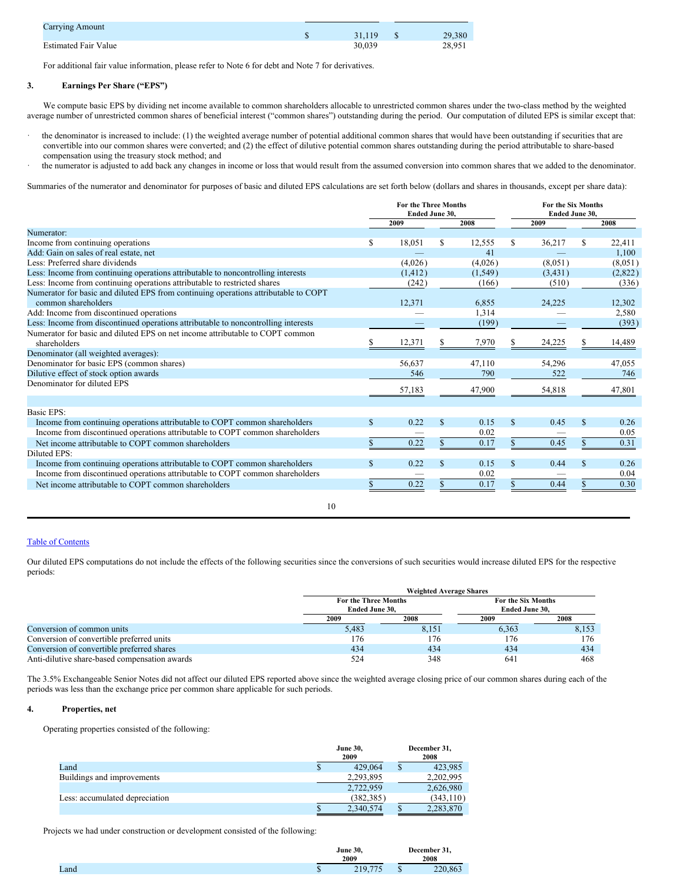| <b>Carrying Amount</b>      | 31.119 | 29.380 |
|-----------------------------|--------|--------|
| <b>Estimated Fair Value</b> | 30.039 | 28.951 |

For additional fair value information, please refer to Note 6 for debt and Note 7 for derivatives.

### **3. Earnings Per Share ("EPS")**

We compute basic EPS by dividing net income available to common shareholders allocable to unrestricted common shares under the two-class method by the weighted average number of unrestricted common shares of beneficial interest ("common shares") outstanding during the period. Our computation of diluted EPS is similar except that:

- the denominator is increased to include: (1) the weighted average number of potential additional common shares that would have been outstanding if securities that are convertible into our common shares were converted; and (2) the effect of dilutive potential common shares outstanding during the period attributable to share-based compensation using the treasury stock method; and
- the numerator is adjusted to add back any changes in income or loss that would result from the assumed conversion into common shares that we added to the denominator.

Summaries of the numerator and denominator for purposes of basic and diluted EPS calculations are set forth below (dollars and shares in thousands, except per share data):

|                                                                                     | For the Three Months<br><b>Ended June 30.</b> |          |               |          | For the Six Months<br>Ended June 30, |          |               |         |
|-------------------------------------------------------------------------------------|-----------------------------------------------|----------|---------------|----------|--------------------------------------|----------|---------------|---------|
|                                                                                     |                                               | 2009     |               | 2008     |                                      | 2009     |               | 2008    |
| Numerator:                                                                          |                                               |          |               |          |                                      |          |               |         |
| Income from continuing operations                                                   | \$                                            | 18,051   | S             | 12,555   | S                                    | 36,217   | S             | 22,411  |
| Add: Gain on sales of real estate, net                                              |                                               |          |               | 41       |                                      |          |               | 1,100   |
| Less: Preferred share dividends                                                     |                                               | (4,026)  |               | (4,026)  |                                      | (8,051)  |               | (8,051) |
| Less: Income from continuing operations attributable to noncontrolling interests    |                                               | (1, 412) |               | (1, 549) |                                      | (3, 431) |               | (2,822) |
| Less: Income from continuing operations attributable to restricted shares           |                                               | (242)    |               | (166)    |                                      | (510)    |               | (336)   |
| Numerator for basic and diluted EPS from continuing operations attributable to COPT |                                               |          |               |          |                                      |          |               |         |
| common shareholders                                                                 |                                               | 12,371   |               | 6,855    |                                      | 24,225   |               | 12,302  |
| Add: Income from discontinued operations                                            |                                               |          |               | 1,314    |                                      |          |               | 2,580   |
| Less: Income from discontinued operations attributable to noncontrolling interests  |                                               |          |               | (199)    |                                      |          |               | (393)   |
| Numerator for basic and diluted EPS on net income attributable to COPT common       |                                               |          |               |          |                                      |          |               |         |
| shareholders                                                                        |                                               | 12,371   | S             | 7,970    |                                      | 24,225   |               | 14,489  |
| Denominator (all weighted averages):                                                |                                               |          |               |          |                                      |          |               |         |
| Denominator for basic EPS (common shares)                                           |                                               | 56,637   |               | 47,110   |                                      | 54,296   |               | 47,055  |
| Dilutive effect of stock option awards                                              |                                               | 546      |               | 790      |                                      | 522      |               | 746     |
| Denominator for diluted EPS                                                         |                                               |          |               |          |                                      |          |               |         |
|                                                                                     |                                               | 57,183   |               | 47,900   |                                      | 54,818   |               | 47,801  |
|                                                                                     |                                               |          |               |          |                                      |          |               |         |
| Basic EPS:                                                                          |                                               |          |               |          |                                      |          |               |         |
| Income from continuing operations attributable to COPT common shareholders          | $\mathbb{S}$                                  | 0.22     | <sup>\$</sup> | 0.15     | $\mathbb{S}$                         | 0.45     | $\mathbb{S}$  | 0.26    |
| Income from discontinued operations attributable to COPT common shareholders        |                                               |          |               | 0.02     |                                      |          |               | 0.05    |
| Net income attributable to COPT common shareholders                                 | \$.                                           | 0.22     | \$.           | 0.17     | $\mathbf{s}$                         | 0.45     | $\mathcal{S}$ | 0.31    |
| Diluted EPS:                                                                        |                                               |          |               |          |                                      |          |               |         |
| Income from continuing operations attributable to COPT common shareholders          | <sup>\$</sup>                                 | 0.22     | <sup>\$</sup> | 0.15     | \$.                                  | 0.44     | \$.           | 0.26    |
| Income from discontinued operations attributable to COPT common shareholders        |                                               |          |               | 0.02     |                                      |          |               | 0.04    |
| Net income attributable to COPT common shareholders                                 |                                               | 0.22     |               | 0.17     |                                      | 0.44     |               | 0.30    |
|                                                                                     |                                               |          |               |          |                                      |          |               |         |

10

### Table of [Contents](#page-0-0)

Our diluted EPS computations do not include the effects of the following securities since the conversions of such securities would increase diluted EPS for the respective periods:

|                                               |                             | <b>Weighted Average Shares</b> |       |                    |  |  |  |  |  |
|-----------------------------------------------|-----------------------------|--------------------------------|-------|--------------------|--|--|--|--|--|
|                                               | <b>For the Three Months</b> |                                |       | For the Six Months |  |  |  |  |  |
|                                               | Ended June 30,              |                                |       | Ended June 30.     |  |  |  |  |  |
|                                               | 2009                        | 2008                           | 2009  | 2008               |  |  |  |  |  |
| Conversion of common units                    | 5.483                       | 8,151                          | 6,363 | 8,153              |  |  |  |  |  |
| Conversion of convertible preferred units     | 176                         | 176.                           | 176   | 176                |  |  |  |  |  |
| Conversion of convertible preferred shares    | 434                         | 434                            | 434   | 434                |  |  |  |  |  |
| Anti-dilutive share-based compensation awards | 524                         | 348                            | 641   | 468                |  |  |  |  |  |

The 3.5% Exchangeable Senior Notes did not affect our diluted EPS reported above since the weighted average closing price of our common shares during each of the periods was less than the exchange price per common share applicable for such periods.

### **4. Properties, net**

Operating properties consisted of the following:

|                                |   | <b>June 30,</b><br>2009 | December 31,<br>2008 |
|--------------------------------|---|-------------------------|----------------------|
| Land                           | S | 429,064                 | 423,985              |
| Buildings and improvements     |   | 2,293,895               | 2,202,995            |
|                                |   | 2,722,959               | 2,626,980            |
| Less: accumulated depreciation |   | (382, 385)              | (343, 110)           |
|                                |   | 2,340,574               | 2,283,870            |

Projects we had under construction or development consisted of the following:

|      |          | <b>June 30,</b><br>2009 |   | December 31.<br>2008 |
|------|----------|-------------------------|---|----------------------|
| Land | <b>D</b> | 210.775                 | D | 20.863               |
|      |          |                         |   |                      |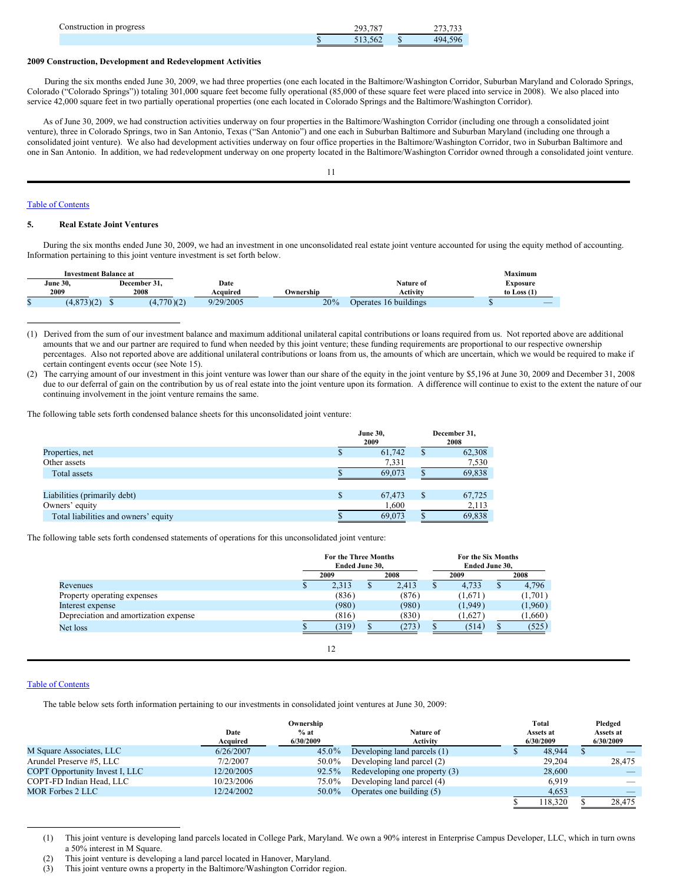| Construction in progress | 203 787<br><i><u>_,,,</u></i> |     |
|--------------------------|-------------------------------|-----|
|                          | 513.562                       | 506 |

### **2009 Construction, Development and Redevelopment Activities**

During the six months ended June 30, 2009, we had three properties (one each located in the Baltimore/Washington Corridor, Suburban Maryland and Colorado Springs, Colorado ("Colorado Springs")) totaling 301,000 square feet become fully operational (85,000 of these square feet were placed into service in 2008). We also placed into service 42,000 square feet in two partially operational properties (one each located in Colorado Springs and the Baltimore/Washington Corridor).

As of June 30, 2009, we had construction activities underway on four properties in the Baltimore/Washington Corridor (including one through a consolidated joint venture), three in Colorado Springs, two in San Antonio, Texas ("San Antonio") and one each in Suburban Baltimore and Suburban Maryland (including one through a consolidated joint venture). We also had development activities underway on four office properties in the Baltimore/Washington Corridor, two in Suburban Baltimore and one in San Antonio. In addition, we had redevelopment underway on one property located in the Baltimore/Washington Corridor owned through a consolidated joint venture.

#### Table of [Contents](#page-0-0)

### **5. Real Estate Joint Ventures**

During the six months ended June 30, 2009, we had an investment in one unconsolidated real estate joint venture accounted for using the equity method of accounting. Information pertaining to this joint venture investment is set forth below.

| <b>Investment Balance at</b> |            |                   |           |           |                       | Maximum     |
|------------------------------|------------|-------------------|-----------|-----------|-----------------------|-------------|
|                              | June 30.   | December 31.      | Date      |           | Nature of             | Exposure    |
|                              | 2009       | 2008              | Acauired  | Ownership | Activity              | to Loss (1) |
| ሖ                            | (4,873)(2) | (770)(2)<br>(4.7) | 9/29/2005 | 20%       | Operates 16 buildings | __          |

(1) Derived from the sum of our investment balance and maximum additional unilateral capital contributions or loans required from us. Not reported above are additional amounts that we and our partner are required to fund when needed by this joint venture; these funding requirements are proportional to our respective ownership percentages. Also not reported above are additional unilateral contributions or loans from us, the amounts of which are uncertain, which we would be required to make if certain contingent events occur (see Note 15).

(2) The carrying amount of our investment in this joint venture was lower than our share of the equity in the joint venture by \$5,196 at June 30, 2009 and December 31, 2008 due to our deferral of gain on the contribution by us of real estate into the joint venture upon its formation. A difference will continue to exist to the extent the nature of our continuing involvement in the joint venture remains the same.

The following table sets forth condensed balance sheets for this unconsolidated joint venture:

|                                      | <b>June 30,</b><br>2009 | December 31.<br>2008 |        |  |
|--------------------------------------|-------------------------|----------------------|--------|--|
| Properties, net                      | 61,742                  |                      | 62,308 |  |
| Other assets                         | 7,331                   |                      | 7,530  |  |
| Total assets                         | 69,073                  |                      | 69,838 |  |
| Liabilities (primarily debt)         | 67,473                  | S                    | 67,725 |  |
| Owners' equity                       | 1,600                   |                      | 2,113  |  |
| Total liabilities and owners' equity | 69,073                  |                      | 69,838 |  |

The following table sets forth condensed statements of operations for this unconsolidated joint venture:

|                                       | For the Three Months<br>Ended June 30. |       |  |       |  | For the Six Months<br>Ended June 30. |  |         |  |
|---------------------------------------|----------------------------------------|-------|--|-------|--|--------------------------------------|--|---------|--|
|                                       |                                        | 2009  |  | 2008  |  | 2009                                 |  | 2008    |  |
| Revenues                              |                                        | 2.313 |  | 2.413 |  | 4.733                                |  | 4,796   |  |
| Property operating expenses           |                                        | (836) |  | (876) |  | (1,671)                              |  | (1,701) |  |
| Interest expense                      |                                        | (980) |  | (980) |  | (1,949)                              |  | (1,960) |  |
| Depreciation and amortization expense |                                        | (816) |  | (830) |  | (1,627)                              |  | (1,660) |  |
| Net loss                              |                                        | (319) |  | (273) |  | (514)                                |  | (525)   |  |
|                                       |                                        |       |  |       |  |                                      |  |         |  |

### Table of [Contents](#page-0-0)

The table below sets forth information pertaining to our investments in consolidated joint ventures at June 30, 2009:

|                                | Date<br>Acquired | Total<br>Ownership<br>$%$ at<br>Nature of<br>Assets at<br>6/30/2009<br>6/30/2009<br>Activity |                               |  |         | Pledged<br>Assets at<br>6/30/2009 |        |  |
|--------------------------------|------------------|----------------------------------------------------------------------------------------------|-------------------------------|--|---------|-----------------------------------|--------|--|
| M Square Associates, LLC       | 6/26/2007        | $45.0\%$                                                                                     | Developing land parcels (1)   |  | 48.944  |                                   |        |  |
| Arundel Preserve #5, LLC       | 7/2/2007         | 50.0%                                                                                        | Developing land parcel (2)    |  | 29.204  |                                   | 28,475 |  |
| COPT Opportunity Invest I, LLC | 12/20/2005       | 92.5%                                                                                        | Redeveloping one property (3) |  | 28,600  |                                   |        |  |
| COPT-FD Indian Head, LLC       | 10/23/2006       | 75.0%                                                                                        | Developing land parcel (4)    |  | 6.919   |                                   | $-$    |  |
| <b>MOR Forbes 2 LLC</b>        | 12/24/2002       | 50.0%                                                                                        | Operates one building $(5)$   |  | 4,653   |                                   |        |  |
|                                |                  |                                                                                              |                               |  | 118.320 |                                   | 28,475 |  |

12

<sup>(1)</sup> This joint venture is developing land parcels located in College Park, Maryland. We own a 90% interest in Enterprise Campus Developer, LLC, which in turn owns a 50% interest in M Square.

<sup>(2)</sup> This joint venture is developing a land parcel located in Hanover, Maryland.

<sup>(3)</sup> This joint venture owns a property in the Baltimore/Washington Corridor region.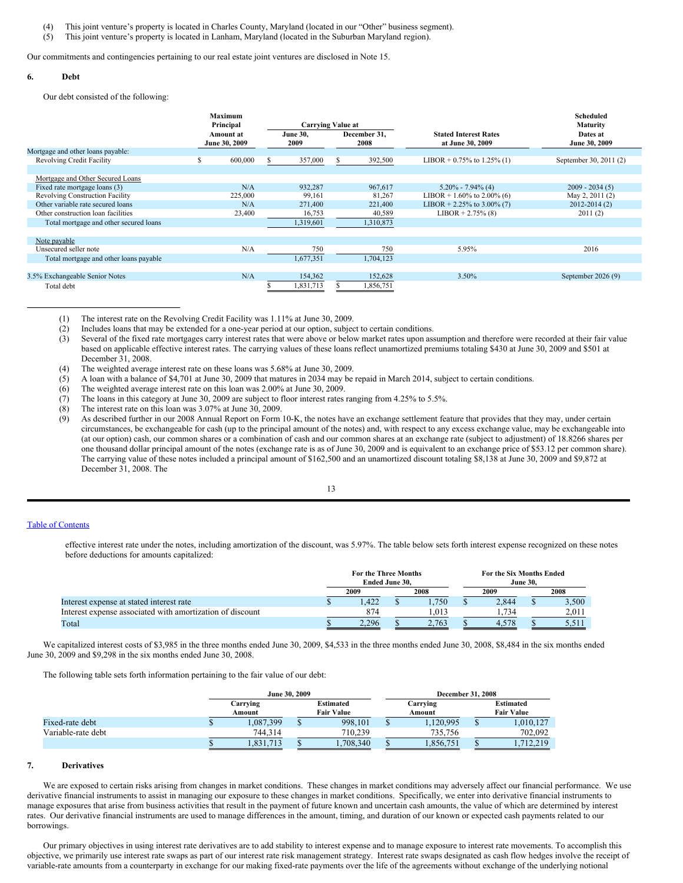- (4) This joint venture's property is located in Charles County, Maryland (located in our "Other" business segment).
- (5) This joint venture's property is located in Lanham, Maryland (located in the Suburban Maryland region).

Our commitments and contingencies pertaining to our real estate joint ventures are disclosed in Note 15.

#### **6. Debt**

Our debt consisted of the following:

|                                        |   | <b>Maximum</b><br>Principal | <b>Carrying Value at</b> |  |                               |                                                  | <b>Scheduled</b><br>Maturity |
|----------------------------------------|---|-----------------------------|--------------------------|--|-------------------------------|--------------------------------------------------|------------------------------|
|                                        |   | Amount at<br>June 30, 2009  | <b>June 30,</b><br>2009  |  | December 31,<br>2008          | <b>Stated Interest Rates</b><br>at June 30, 2009 | Dates at<br>June 30, 2009    |
| Mortgage and other loans payable:      |   |                             |                          |  |                               |                                                  |                              |
| Revolving Credit Facility              | ь | 600,000                     | 357,000                  |  | 392,500                       | LIBOR + $0.75\%$ to 1.25% (1)                    | September 30, 2011 (2)       |
|                                        |   |                             |                          |  |                               |                                                  |                              |
| Mortgage and Other Secured Loans       |   |                             |                          |  |                               |                                                  |                              |
| Fixed rate mortgage loans (3)          |   | N/A                         | 932,287                  |  | 967,617                       | $5.20\% - 7.94\%$ (4)                            | $2009 - 2034(5)$             |
| <b>Revolving Construction Facility</b> |   | 225,000                     | 99,161<br>81,267         |  | LIBOR $+ 1.60\%$ to 2.00% (6) | May 2, 2011 (2)                                  |                              |
| Other variable rate secured loans      |   | N/A                         | 271,400                  |  | 221,400                       | LIBOR + 2.25% to 3.00% (7)                       | $2012 - 2014(2)$             |
| Other construction loan facilities     |   | 23,400                      | 16,753                   |  | 40,589                        | $LIBOR + 2.75\%$ (8)                             | 2011(2)                      |
| Total mortgage and other secured loans |   |                             | 1,319,601                |  | 1,310,873                     |                                                  |                              |
|                                        |   |                             |                          |  |                               |                                                  |                              |
| Note payable                           |   |                             |                          |  |                               |                                                  |                              |
| Unsecured seller note                  |   | N/A                         | 750                      |  | 750                           | 5.95%                                            | 2016                         |
| Total mortgage and other loans payable |   |                             | 1,677,351                |  | 1,704,123                     |                                                  |                              |
|                                        |   |                             |                          |  |                               |                                                  |                              |
| 3.5% Exchangeable Senior Notes         |   | N/A                         | 154,362                  |  | 152,628                       | $3.50\%$                                         | September $2026(9)$          |
| Total debt                             |   |                             | 1,831,713                |  | 1,856,751                     |                                                  |                              |

(1) The interest rate on the Revolving Credit Facility was 1.11% at June 30, 2009.

(2) Includes loans that may be extended for a one-year period at our option, subject to certain conditions.

(3) Several of the fixed rate mortgages carry interest rates that were above or below market rates upon assumption and therefore were recorded at their fair value based on applicable effective interest rates. The carrying values of these loans reflect unamortized premiums totaling \$430 at June 30, 2009 and \$501 at December 31, 2008.

(4) The weighted average interest rate on these loans was 5.68% at June 30, 2009.

(5) A loan with a balance of \$4,701 at June 30, 2009 that matures in 2034 may be repaid in March 2014, subject to certain conditions.

(6) The weighted average interest rate on this loan was 2.00% at June 30, 2009.

(7) The loans in this category at June 30, 2009 are subject to floor interest rates ranging from 4.25% to 5.5%.

(8) The interest rate on this loan was 3.07% at June 30, 2009.

(9) As described further in our 2008 Annual Report on Form 10-K, the notes have an exchange settlement feature that provides that they may, under certain circumstances, be exchangeable for cash (up to the principal amount of the notes) and, with respect to any excess exchange value, may be exchangeable into (at our option) cash, our common shares or a combination of cash and our common shares at an exchange rate (subject to adjustment) of 18.8266 shares per one thousand dollar principal amount of the notes (exchange rate is as of June 30, 2009 and is equivalent to an exchange price of \$53.12 per common share). The carrying value of these notes included a principal amount of \$162,500 and an unamortized discount totaling \$8,138 at June 30, 2009 and \$9,872 at December 31, 2008. The

### 13

### Table of [Contents](#page-0-0)

effective interest rate under the notes, including amortization of the discount, was 5.97%. The table below sets forth interest expense recognized on these notes before deductions for amounts capitalized:

|                                                           | For the Three Months<br>Ended June 30. |       |  |       | For the Six Months Ended<br><b>June 30.</b> |  |       |  |
|-----------------------------------------------------------|----------------------------------------|-------|--|-------|---------------------------------------------|--|-------|--|
|                                                           |                                        | 2009  |  | 2008  | 2009                                        |  | 2008  |  |
| Interest expense at stated interest rate                  |                                        | .422  |  | 1.750 | 2.844                                       |  | 3,500 |  |
| Interest expense associated with amortization of discount |                                        | 874   |  | .013  | . 734                                       |  | 2.011 |  |
| Total                                                     |                                        | 2.296 |  | 2.763 | 4.578                                       |  | 5.511 |  |

We capitalized interest costs of \$3,985 in the three months ended June 30, 2009, \$4,533 in the three months ended June 30, 2008, \$8,484 in the six months ended June 30, 2009 and \$9,298 in the six months ended June 30, 2008.

The following table sets forth information pertaining to the fair value of our debt:

|                    |  | June 30, 2009      |  |          | <b>December 31, 2008</b> |                                       |  |                    |                                |  |  |
|--------------------|--|--------------------|--|----------|--------------------------|---------------------------------------|--|--------------------|--------------------------------|--|--|
|                    |  | Carrying<br>Amount |  |          |                          | <b>Estimated</b><br><b>Fair Value</b> |  | Carrying<br>Amount | Estimated<br><b>Fair Value</b> |  |  |
| Fixed-rate debt    |  | 1,087,399          |  | 998.101  |                          | 1.120.995                             |  | 1.010.127          |                                |  |  |
| Variable-rate debt |  | 744,314            |  | 710.239  |                          | 735.756                               |  | 702.092            |                                |  |  |
|                    |  | 1,831,713          |  | ,708,340 |                          | .856.751                              |  | .712.219           |                                |  |  |

### **7. Derivatives**

We are exposed to certain risks arising from changes in market conditions. These changes in market conditions may adversely affect our financial performance. We use derivative financial instruments to assist in managing our exposure to these changes in market conditions. Specifically, we enter into derivative financial instruments to manage exposures that arise from business activities that result in the payment of future known and uncertain cash amounts, the value of which are determined by interest rates. Our derivative financial instruments are used to manage differences in the amount, timing, and duration of our known or expected cash payments related to our borrowings.

Our primary objectives in using interest rate derivatives are to add stability to interest expense and to manage exposure to interest rate movements. To accomplish this objective, we primarily use interest rate swaps as part of our interest rate risk management strategy. Interest rate swaps designated as cash flow hedges involve the receipt of variable-rate amounts from a counterparty in exchange for our making fixed-rate payments over the life of the agreements without exchange of the underlying notional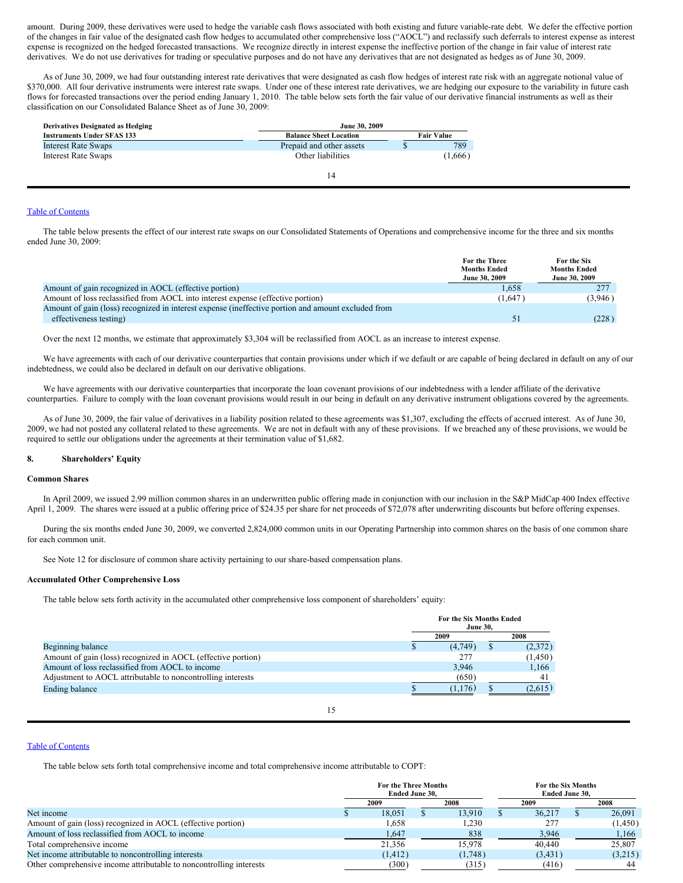amount. During 2009, these derivatives were used to hedge the variable cash flows associated with both existing and future variable-rate debt. We defer the effective portion of the changes in fair value of the designated cash flow hedges to accumulated other comprehensive loss ("AOCL") and reclassify such deferrals to interest expense as interest expense is recognized on the hedged forecasted transactions. We recognize directly in interest expense the ineffective portion of the change in fair value of interest rate derivatives. We do not use derivatives for trading or speculative purposes and do not have any derivatives that are not designated as hedges as of June 30, 2009.

As of June 30, 2009, we had four outstanding interest rate derivatives that were designated as cash flow hedges of interest rate risk with an aggregate notional value of \$370,000. All four derivative instruments were interest rate swaps. Under one of these interest rate derivatives, we are hedging our exposure to the variability in future cash flows for forecasted transactions over the period ending January 1, 2010. The table below sets forth the fair value of our derivative financial instruments as well as their classification on our Consolidated Balance Sheet as of June 30, 2009:

| Derivatives Designated as Hedging | June 30, 2009                 |                   |         |  |  |  |  |  |
|-----------------------------------|-------------------------------|-------------------|---------|--|--|--|--|--|
| <b>Instruments Under SFAS 133</b> | <b>Balance Sheet Location</b> | <b>Fair Value</b> |         |  |  |  |  |  |
| <b>Interest Rate Swaps</b>        | Prepaid and other assets      |                   | 789     |  |  |  |  |  |
| <b>Interest Rate Swaps</b>        | Other liabilities             |                   | (1,666) |  |  |  |  |  |
|                                   |                               |                   |         |  |  |  |  |  |
|                                   |                               |                   |         |  |  |  |  |  |

#### Table of [Contents](#page-0-0)

The table below presents the effect of our interest rate swaps on our Consolidated Statements of Operations and comprehensive income for the three and six months ended June 30, 2009:

|                                                                                                    | For the Three<br><b>Months Ended</b><br>June 30, 2009 | For the Six<br><b>Months Ended</b><br>June 30, 2009 |
|----------------------------------------------------------------------------------------------------|-------------------------------------------------------|-----------------------------------------------------|
| Amount of gain recognized in AOCL (effective portion)                                              | 1.658                                                 | 277                                                 |
| Amount of loss reclassified from AOCL into interest expense (effective portion)                    | (1,647)                                               | (3,946)                                             |
| Amount of gain (loss) recognized in interest expense (ineffective portion and amount excluded from |                                                       |                                                     |
| effectiveness testing)                                                                             | 51                                                    | (228)                                               |

Over the next 12 months, we estimate that approximately \$3,304 will be reclassified from AOCL as an increase to interest expense.

We have agreements with each of our derivative counterparties that contain provisions under which if we default or are capable of being declared in default on any of our indebtedness, we could also be declared in default on our derivative obligations.

We have agreements with our derivative counterparties that incorporate the loan covenant provisions of our indebtedness with a lender affiliate of the derivative counterparties. Failure to comply with the loan covenant provisions would result in our being in default on any derivative instrument obligations covered by the agreements.

As of June 30, 2009, the fair value of derivatives in a liability position related to these agreements was \$1,307, excluding the effects of accrued interest. As of June 30, 2009, we had not posted any collateral related to these agreements. We are not in default with any of these provisions. If we breached any of these provisions, we would be required to settle our obligations under the agreements at their termination value of \$1,682.

### **8. Shareholders' Equity**

#### **Common Shares**

In April 2009, we issued 2.99 million common shares in an underwritten public offering made in conjunction with our inclusion in the S&P MidCap 400 Index effective April 1, 2009. The shares were issued at a public offering price of \$24.35 per share for net proceeds of \$72,078 after underwriting discounts but before offering expenses.

During the six months ended June 30, 2009, we converted 2,824,000 common units in our Operating Partnership into common shares on the basis of one common share for each common unit.

See Note 12 for disclosure of common share activity pertaining to our share-based compensation plans.

#### **Accumulated Other Comprehensive Loss**

The table below sets forth activity in the accumulated other comprehensive loss component of shareholders' equity:

|                                                              | For the Six Months Ended<br><b>June 30,</b> |  |         |  |  |  |
|--------------------------------------------------------------|---------------------------------------------|--|---------|--|--|--|
|                                                              | 2009                                        |  |         |  |  |  |
| Beginning balance                                            | (4,749)                                     |  | (2,372) |  |  |  |
| Amount of gain (loss) recognized in AOCL (effective portion) | 277                                         |  | (1,450) |  |  |  |
| Amount of loss reclassified from AOCL to income              | 3.946                                       |  | 1,166   |  |  |  |
| Adjustment to AOCL attributable to noncontrolling interests  | (650)                                       |  | 41      |  |  |  |
| <b>Ending balance</b>                                        | (1.176)                                     |  | (2.615) |  |  |  |
|                                                              |                                             |  |         |  |  |  |

#### Table of [Contents](#page-0-0)

The table below sets forth total comprehensive income and total comprehensive income attributable to COPT:

|                                                                     |      | <b>For the Three Months</b><br>Ended June 30. |  |         | For the Six Months<br>Ended June 30. |          |  |         |  |
|---------------------------------------------------------------------|------|-----------------------------------------------|--|---------|--------------------------------------|----------|--|---------|--|
|                                                                     | 2009 |                                               |  | 2008    |                                      | 2009     |  | 2008    |  |
| Net income                                                          |      | 18.051                                        |  | 13.910  |                                      | 36.217   |  | 26,091  |  |
| Amount of gain (loss) recognized in AOCL (effective portion)        |      | 1.658                                         |  | 1,230   |                                      | 277      |  | (1,450) |  |
| Amount of loss reclassified from AOCL to income                     |      | 1,647                                         |  | 838     |                                      | 3,946    |  | 1,166   |  |
| Total comprehensive income                                          |      | 21.356                                        |  | 15.978  |                                      | 40,440   |  | 25,807  |  |
| Net income attributable to noncontrolling interests                 |      | (1,412)                                       |  | (1,748) |                                      | (3, 431) |  | (3,215) |  |
| Other comprehensive income attributable to noncontrolling interests |      | (300)                                         |  | (315)   |                                      | (416)    |  | 44      |  |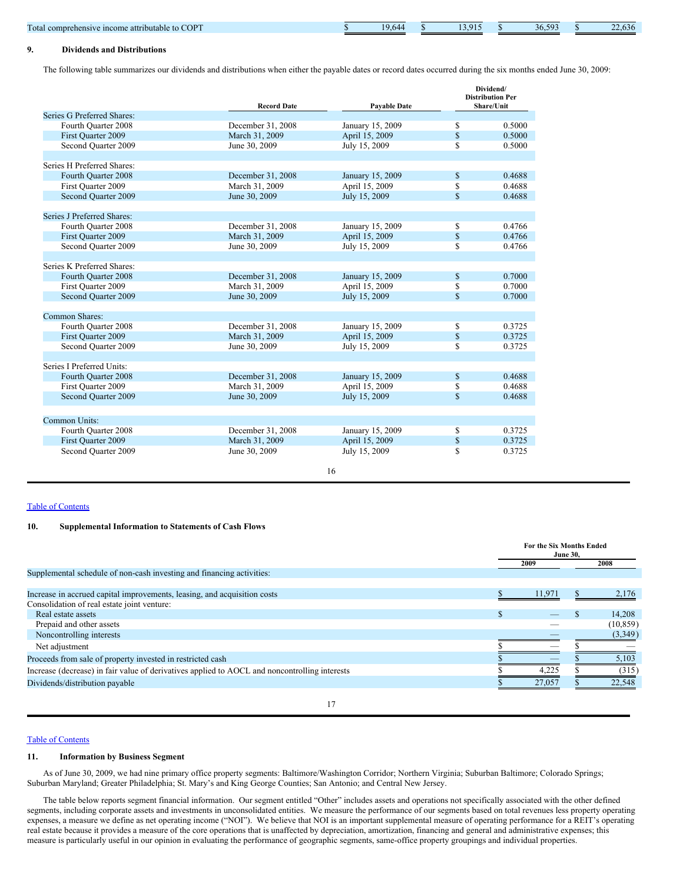| $\sim$<br>$\epsilon$ to COPT<br>Fotal<br>: attributable<br>: income<br>compret<br>chensive | 9 644 | $\bigcap$ 1 $\bigcap$<br><br>. | 502<br>50. | $\sim$ $\sim$ $\sim$<br>h <sub>th</sub> |
|--------------------------------------------------------------------------------------------|-------|--------------------------------|------------|-----------------------------------------|
|                                                                                            |       |                                |            |                                         |

### **9. Dividends and Distributions**

The following table summarizes our dividends and distributions when either the payable dates or record dates occurred during the six months ended June 30, 2009:

|                            | <b>Record Date</b><br><b>Payable Date</b> |                  |               | Dividend/<br><b>Distribution Per</b><br>Share/Unit |
|----------------------------|-------------------------------------------|------------------|---------------|----------------------------------------------------|
| Series G Preferred Shares: |                                           |                  |               |                                                    |
| Fourth Ouarter 2008        | December 31, 2008                         | January 15, 2009 | \$            | 0.5000                                             |
| First Ouarter 2009         | March 31, 2009                            | April 15, 2009   | $\mathbf S$   | 0.5000                                             |
| Second Ouarter 2009        | June 30, 2009                             | July 15, 2009    | \$            | 0.5000                                             |
|                            |                                           |                  |               |                                                    |
| Series H Preferred Shares: |                                           |                  |               |                                                    |
| Fourth Ouarter 2008        | December 31, 2008                         | January 15, 2009 | <sup>\$</sup> | 0.4688                                             |
| First Quarter 2009         | March 31, 2009                            | April 15, 2009   | \$            | 0.4688                                             |
| Second Quarter 2009        | June 30, 2009                             | July 15, 2009    | $\mathbf S$   | 0.4688                                             |
|                            |                                           |                  |               |                                                    |
| Series J Preferred Shares: |                                           |                  |               |                                                    |
| Fourth Ouarter 2008        | December 31, 2008                         | January 15, 2009 | \$            | 0.4766                                             |
| First Ouarter 2009         | March 31, 2009                            | April 15, 2009   | $\mathbf S$   | 0.4766                                             |
| Second Quarter 2009        | June 30, 2009                             | July 15, 2009    | \$            | 0.4766                                             |
|                            |                                           |                  |               |                                                    |
| Series K Preferred Shares: |                                           |                  |               |                                                    |
| Fourth Ouarter 2008        | December 31, 2008                         | January 15, 2009 | \$            | 0.7000                                             |
| First Ouarter 2009         | March 31, 2009                            | April 15, 2009   | \$            | 0.7000                                             |
| Second Quarter 2009        | June 30, 2009                             | July 15, 2009    | $\mathcal{S}$ | 0.7000                                             |
|                            |                                           |                  |               |                                                    |
| <b>Common Shares:</b>      |                                           |                  |               |                                                    |
| Fourth Quarter 2008        | December 31, 2008                         | January 15, 2009 | \$            | 0.3725                                             |
| First Ouarter 2009         | March 31, 2009                            | April 15, 2009   | $\mathcal{S}$ | 0.3725                                             |
| Second Ouarter 2009        | June 30, 2009                             | July 15, 2009    | \$            | 0.3725                                             |
|                            |                                           |                  |               |                                                    |
| Series I Preferred Units:  |                                           |                  |               |                                                    |
| Fourth Ouarter 2008        | December 31, 2008                         | January 15, 2009 | $\mathbb{S}$  | 0.4688                                             |
| First Ouarter 2009         | March 31, 2009                            | April 15, 2009   | \$            | 0.4688                                             |
| Second Quarter 2009        | June 30, 2009                             | July 15, 2009    | $\mathcal{S}$ | 0.4688                                             |
|                            |                                           |                  |               |                                                    |
| Common Units:              |                                           |                  |               |                                                    |
| Fourth Ouarter 2008        | December 31, 2008                         | January 15, 2009 | \$            | 0.3725                                             |
| First Ouarter 2009         | March 31, 2009                            | April 15, 2009   | $\mathbf S$   | 0.3725                                             |
| Second Ouarter 2009        | June 30, 2009                             | July 15, 2009    | \$            | 0.3725                                             |
|                            |                                           |                  |               |                                                    |
|                            |                                           |                  |               |                                                    |

16

### Table of [Contents](#page-0-0)

### **10. Supplemental Information to Statements of Cash Flows**

|                                                                                               |   | <b>For the Six Months Ended</b> | <b>June 30,</b> |           |
|-----------------------------------------------------------------------------------------------|---|---------------------------------|-----------------|-----------|
|                                                                                               |   | 2009                            |                 | 2008      |
| Supplemental schedule of non-cash investing and financing activities:                         |   |                                 |                 |           |
|                                                                                               |   |                                 |                 |           |
| Increase in accrued capital improvements, leasing, and acquisition costs                      |   | 11,971                          |                 | 2,176     |
| Consolidation of real estate joint venture:                                                   |   |                                 |                 |           |
| Real estate assets                                                                            | S |                                 |                 | 14.208    |
| Prepaid and other assets                                                                      |   |                                 |                 | (10, 859) |
| Noncontrolling interests                                                                      |   |                                 |                 | (3,349)   |
| Net adjustment                                                                                |   |                                 |                 |           |
| Proceeds from sale of property invested in restricted cash                                    |   |                                 |                 | 5,103     |
| Increase (decrease) in fair value of derivatives applied to AOCL and noncontrolling interests |   | 4.225                           |                 | (315)     |
| Dividends/distribution payable                                                                |   | 27,057                          |                 | 22.548    |
|                                                                                               |   |                                 |                 |           |

17

### Table of [Contents](#page-0-0)

### **11. Information by Business Segment**

As of June 30, 2009, we had nine primary office property segments: Baltimore/Washington Corridor; Northern Virginia; Suburban Baltimore; Colorado Springs; Suburban Maryland; Greater Philadelphia; St. Mary's and King George Counties; San Antonio; and Central New Jersey.

The table below reports segment financial information. Our segment entitled "Other" includes assets and operations not specifically associated with the other defined segments, including corporate assets and investments in unconsolidated entities. We measure the performance of our segments based on total revenues less property operating expenses, a measure we define as net operating income ("NOI"). We believe that NOI is an important supplemental measure of operating performance for a REIT's operating real estate because it provides a measure of the core operations that is unaffected by depreciation, amortization, financing and general and administrative expenses; this measure is particularly useful in our opinion in evaluating the performance of geographic segments, same-office property groupings and individual properties.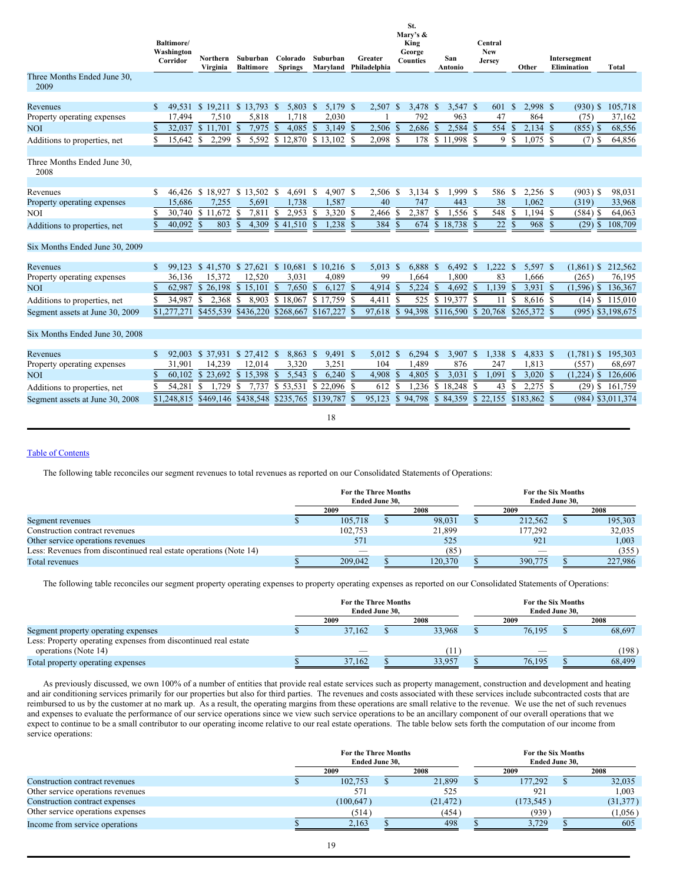| Three Months Ended June 30,                                                                                              | Baltimore/<br>Washington<br>Corridor                                 | Northern<br>Virginia                                                     | Suburban<br><b>Baltimore</b>                                  | Colorado<br><b>Springs</b>                                                              | Suburban<br>Marvland                                                            | Greater<br>Philadelphia                                                 | St.<br>Mary's &<br>King<br>George<br><b>Counties</b>                        | San<br>Antonio                                                      | Central<br><b>New</b><br>Jersey                                        | Other                                                                        | Intersegment<br><b>Elimination</b>                                     | Total                                                            |
|--------------------------------------------------------------------------------------------------------------------------|----------------------------------------------------------------------|--------------------------------------------------------------------------|---------------------------------------------------------------|-----------------------------------------------------------------------------------------|---------------------------------------------------------------------------------|-------------------------------------------------------------------------|-----------------------------------------------------------------------------|---------------------------------------------------------------------|------------------------------------------------------------------------|------------------------------------------------------------------------------|------------------------------------------------------------------------|------------------------------------------------------------------|
| 2009                                                                                                                     |                                                                      |                                                                          |                                                               |                                                                                         |                                                                                 |                                                                         |                                                                             |                                                                     |                                                                        |                                                                              |                                                                        |                                                                  |
| Revenues<br>Property operating expenses<br><b>NOI</b><br>Additions to properties, net                                    | S<br>49.531<br>17,494<br><b>S</b><br>32,037<br>S<br>15,642           | \$19,211 \$13,793 \$<br>7,510<br>\$11,701<br>\$<br>2,299                 | 5,818<br>7,975<br><sup>\$</sup><br>\$<br>5,592                | $5,803$ \$<br>1,718<br>4,085<br><sup>\$</sup><br>\$12,870                               | 5.179 \$<br>2,030<br>S<br>3,149<br>$$13,102$ \$                                 | 2,507 \$<br>2,506<br><sup>\$</sup><br>2,098                             | 3,478 \$<br>792<br>\$<br>2,686<br>\$<br>178                                 | 3.547 \$<br>963<br>2,584<br><b>S</b><br>\$11,998                    | 601<br>47<br>554<br><sup>S</sup><br><sup>S</sup><br>9                  | <sup>S</sup><br>2,998 \$<br>864<br>$\mathbb{S}$<br>$2,134$ \$<br>\$<br>1,075 | $(930)$ \$<br>(75)<br>$(855)$ \$<br>$(7)$ \$<br>-S                     | 105,718<br>37,162<br>68,556<br>64,856                            |
| Three Months Ended June 30,<br>2008                                                                                      |                                                                      |                                                                          |                                                               |                                                                                         |                                                                                 |                                                                         |                                                                             |                                                                     |                                                                        |                                                                              |                                                                        |                                                                  |
| Revenues<br>Property operating expenses<br><b>NOI</b><br>Additions to properties, net                                    | S<br>46.426<br>15.686<br>S<br>30,740<br>S<br>40,092                  | \$18,927<br>7.255<br>\$11,672<br>803<br>\$                               | $$13,502$ \$<br>5.691<br>7,811<br>S<br>4,309<br><sup>\$</sup> | 4,691<br>1.738<br>2,953<br>\$41,510                                                     | 4,907 \$<br>-S<br>1.587<br>3.320<br>S<br>1,238<br>S                             | 2,506<br>40<br>2,466<br>-8<br>384<br>-S                                 | -S<br>3,134 \$<br>747<br>\$<br>2,387<br>\$<br>674                           | 1.999S<br>443<br>1.556<br>18,738<br>\$                              | 586<br>38<br><sup>S</sup><br>548<br>22<br>$\mathbb{S}$                 | \$<br>2,256 \$<br>1.062<br>S<br>1.194<br><sup>\$</sup><br>968                | $(903)$ \$<br>(319)<br>-S<br>$(584)$ \$<br><sup>\$</sup><br>(29)<br>\$ | 98.031<br>33.968<br>64,063<br>108,709                            |
| Six Months Ended June 30, 2009                                                                                           |                                                                      |                                                                          |                                                               |                                                                                         |                                                                                 |                                                                         |                                                                             |                                                                     |                                                                        |                                                                              |                                                                        |                                                                  |
| Revenues<br>Property operating expenses<br><b>NOI</b><br>Additions to properties, net<br>Segment assets at June 30, 2009 | S<br>99.123<br>36,136<br>62,987<br>\$<br>34.987<br>S<br>\$1,277,271  | 15,372<br>\$26,198<br>S.<br>2.368<br>\$455,539                           | 12,520<br>15,101<br>$\mathbb{S}$<br>8.903<br>S<br>\$436,220   | \$41,570 \$27,621 \$10,681 \$10,216 \$<br>3,031<br>\$<br>7,650<br>\$18,067<br>\$268,667 | 4,089<br>$\mathbb{S}$<br>6,127<br>\$17,759<br>\$167,227                         | 5,013 \$<br>99<br>4,914<br><sup>\$</sup><br>4,411<br>-S<br>97,618<br>-S | 6,888 \$<br>1.664<br>\$<br>5,224<br>525<br>S<br>\$94,398                    | 6,492 \$<br>1,800<br>4,692<br>S<br>19.377<br>S.<br>\$116,590        | $1,222$ \$<br>83<br>1,139<br>$\mathbb{S}$<br>S<br>11<br>\$20,768       | 5,597 \$<br>1,666<br>$\mathbb{S}$<br>3,931<br>8.616 \$<br>\$.<br>\$265,372   | $(1,861)$ \$ 212,562<br>(265)<br>$(1,596)$ \$<br><sup>\$</sup><br>-\$  | 76,195<br>136,367<br>$(14)$ \$ 115,010<br>$(995)$ \$3,198,675    |
| Six Months Ended June 30, 2008                                                                                           |                                                                      |                                                                          |                                                               |                                                                                         |                                                                                 |                                                                         |                                                                             |                                                                     |                                                                        |                                                                              |                                                                        |                                                                  |
| Revenues<br>Property operating expenses<br><b>NOI</b><br>Additions to properties, net<br>Segment assets at June 30, 2008 | S.<br>92,003<br>31.901<br>S<br>60.102<br>\$<br>54.281<br>\$1,248,815 | \$ 37,931 \$ 27,412 \$<br>14.239<br>\$23.692<br>\$<br>1,729<br>\$469,146 | 12.014<br>15,398<br>\$<br>7,737<br>S<br>\$438,548             | 8,863<br>3,320<br>5,543<br><sup>\$</sup><br>\$53,531<br>\$235,765                       | 9,491 \$<br>- \$<br>3.251<br>6.240<br><sup>\$</sup><br>22,096<br>S<br>\$139,787 | 5,012 \$<br>104<br>4.908<br>S<br>-S<br>612<br>95,123<br>S               | $6,294$ \$<br>1.489<br>4,805<br><sup>\$</sup><br>S<br>1,236<br>94,798<br>\$ | 3.907<br>876<br>3,031<br>S<br>S<br>18,248<br>84,359<br><sup>S</sup> | -S<br>1,338<br>247<br>1.091<br><sup>\$</sup><br>S<br>43<br>22,155<br>S | 4,833 \$<br>-S<br>1.813<br>3,020<br>$\mathbb{S}$<br>2,275<br>S<br>\$183,862  | $(1,781)$ \$<br>(557)<br>$(1,224)$ \$<br>-S<br>-S<br>(984)             | 195,303<br>68,697<br>126,606<br>$(29)$ \$ 161,759<br>\$3,011,374 |

18

# Table of [Contents](#page-0-0)

The following table reconciles our segment revenues to total revenues as reported on our Consolidated Statements of Operations:

|                                                                   |  | For the Three Months<br>Ended June 30. |         |  | For the Six Months |      |         |
|-------------------------------------------------------------------|--|----------------------------------------|---------|--|--------------------|------|---------|
|                                                                   |  | 2009                                   | 2008    |  | 2009               | 2008 |         |
| Segment revenues                                                  |  | 105.718                                | 98,031  |  | 212.562            |      | 195,303 |
| Construction contract revenues                                    |  | 102.753                                | 21,899  |  | 177.292            |      | 32,035  |
| Other service operations revenues                                 |  | 571                                    | 525     |  | 921                |      | 1,003   |
| Less: Revenues from discontinued real estate operations (Note 14) |  |                                        | (85)    |  |                    |      | (355)   |
| Total revenues                                                    |  | 209,042                                | 120,370 |  | 390,775            |      | 227,986 |

The following table reconciles our segment property operating expenses to property operating expenses as reported on our Consolidated Statements of Operations:

|                                                                 | <b>For the Three Months</b><br>Ended June 30. |        |  |        |  | For the Six Months<br>Ended June 30. |      |        |  |  |
|-----------------------------------------------------------------|-----------------------------------------------|--------|--|--------|--|--------------------------------------|------|--------|--|--|
|                                                                 | 2009                                          |        |  | 2008   |  | 2009                                 | 2008 |        |  |  |
| Segment property operating expenses                             |                                               | 37.162 |  | 33.968 |  | 76.195                               |      | 68.697 |  |  |
| Less: Property operating expenses from discontinued real estate |                                               |        |  |        |  |                                      |      |        |  |  |
| operations (Note 14)                                            |                                               |        |  |        |  |                                      |      | (198)  |  |  |
| Total property operating expenses                               |                                               | 37.162 |  | 33.957 |  | 76.195                               |      | 68.499 |  |  |

As previously discussed, we own 100% of a number of entities that provide real estate services such as property management, construction and development and heating and air conditioning services primarily for our properties but also for third parties. The revenues and costs associated with these services include subcontracted costs that are reimbursed to us by the customer at no mark up. As a result, the operating margins from these operations are small relative to the revenue. We use the net of such revenues and expenses to evaluate the performance of our service operations since we view such service operations to be an ancillary component of our overall operations that we expect to continue to be a small contributor to our operating income relative to our real estate operations. The table below sets forth the computation of our income from service operations:

|                                   | <b>For the Three Months</b><br>Ended June 30. |  | For the Six Months<br>Ended June 30. |            |  |           |
|-----------------------------------|-----------------------------------------------|--|--------------------------------------|------------|--|-----------|
|                                   | 2009                                          |  | 2008                                 | 2009       |  | 2008      |
| Construction contract revenues    | 102.753                                       |  | 21.899                               | 177,292    |  | 32,035    |
| Other service operations revenues | 571                                           |  | 525                                  | 921        |  | 1.003     |
| Construction contract expenses    | (100.647)                                     |  | (21, 472)                            | (173, 545) |  | (31, 377) |
| Other service operations expenses | (514)                                         |  | (454)                                | (939)      |  | (1,056)   |
| Income from service operations    | 2,163                                         |  | 498                                  | 3,729      |  | 605       |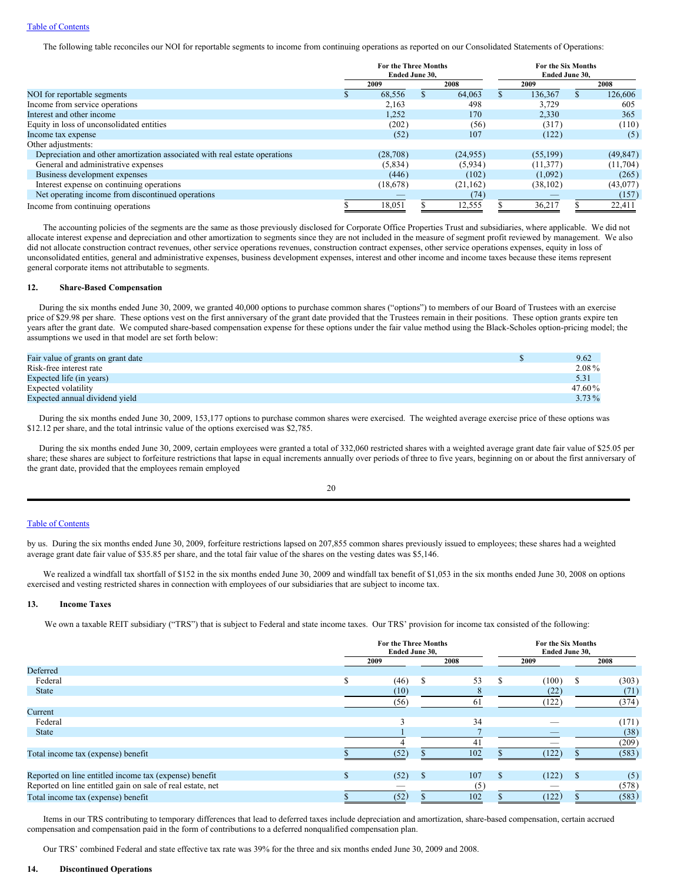The following table reconciles our NOI for reportable segments to income from continuing operations as reported on our Consolidated Statements of Operations:

|                                                                            | For the Three Months<br><b>Ended June 30.</b> |          |  |           |  | For the Six Months<br><b>Ended June 30.</b> |  |           |  |  |
|----------------------------------------------------------------------------|-----------------------------------------------|----------|--|-----------|--|---------------------------------------------|--|-----------|--|--|
|                                                                            | 2009                                          |          |  | 2008      |  | 2009                                        |  | 2008      |  |  |
| NOI for reportable segments                                                |                                               | 68.556   |  | 64,063    |  | 136.367                                     |  | 126,606   |  |  |
| Income from service operations                                             |                                               | 2,163    |  | 498       |  | 3,729                                       |  | 605       |  |  |
| Interest and other income                                                  |                                               | 1,252    |  | 170       |  | 2,330                                       |  | 365       |  |  |
| Equity in loss of unconsolidated entities                                  |                                               | (202)    |  | (56)      |  | (317)                                       |  | (110)     |  |  |
| Income tax expense                                                         |                                               | (52)     |  | 107       |  | (122)                                       |  | (5)       |  |  |
| Other adjustments:                                                         |                                               |          |  |           |  |                                             |  |           |  |  |
| Depreciation and other amortization associated with real estate operations |                                               | (28,708) |  | (24.955)  |  | (55, 199)                                   |  | (49, 847) |  |  |
| General and administrative expenses                                        |                                               | (5,834)  |  | (5,934)   |  | (11, 377)                                   |  | (11,704)  |  |  |
| Business development expenses                                              |                                               | (446)    |  | (102)     |  | (1,092)                                     |  | (265)     |  |  |
| Interest expense on continuing operations                                  |                                               | (18,678) |  | (21, 162) |  | (38, 102)                                   |  | (43,077)  |  |  |
| Net operating income from discontinued operations                          |                                               |          |  | (74)      |  |                                             |  | (157)     |  |  |
| Income from continuing operations                                          |                                               | 18,051   |  | 12,555    |  | 36,217                                      |  | 22,411    |  |  |

The accounting policies of the segments are the same as those previously disclosed for Corporate Office Properties Trust and subsidiaries, where applicable. We did not allocate interest expense and depreciation and other amortization to segments since they are not included in the measure of segment profit reviewed by management. We also did not allocate construction contract revenues, other service operations revenues, construction contract expenses, other service operations expenses, equity in loss of unconsolidated entities, general and administrative expenses, business development expenses, interest and other income and income taxes because these items represent general corporate items not attributable to segments.

### **12. Share-Based Compensation**

During the six months ended June 30, 2009, we granted 40,000 options to purchase common shares ("options") to members of our Board of Trustees with an exercise price of \$29.98 per share. These options vest on the first anniversary of the grant date provided that the Trustees remain in their positions. These option grants expire ten years after the grant date. We computed share-based compensation expense for these options under the fair value method using the Black-Scholes option-pricing model; the assumptions we used in that model are set forth below:

| Fair value of grants on grant date | 9.62     |
|------------------------------------|----------|
| Risk-free interest rate            | $2.08\%$ |
| Expected life (in years)           | 5.31     |
| Expected volatility                | 47.60%   |
| Expected annual dividend yield     | $3.73\%$ |

During the six months ended June 30, 2009, 153,177 options to purchase common shares were exercised. The weighted average exercise price of these options was \$12.12 per share, and the total intrinsic value of the options exercised was \$2,785.

During the six months ended June 30, 2009, certain employees were granted a total of 332,060 restricted shares with a weighted average grant date fair value of \$25.05 per share; these shares are subject to forfeiture restrictions that lapse in equal increments annually over periods of three to five years, beginning on or about the first anniversary of the grant date, provided that the employees remain employed

| I | ۰.<br>×<br>۰. |  |
|---|---------------|--|

#### Table of [Contents](#page-0-0)

by us. During the six months ended June 30, 2009, forfeiture restrictions lapsed on 207,855 common shares previously issued to employees; these shares had a weighted average grant date fair value of \$35.85 per share, and the total fair value of the shares on the vesting dates was \$5,146.

We realized a windfall tax shortfall of \$152 in the six months ended June 30, 2009 and windfall tax benefit of \$1,053 in the six months ended June 30, 2008 on options exercised and vesting restricted shares in connection with employees of our subsidiaries that are subject to income tax.

#### **13. Income Taxes**

We own a taxable REIT subsidiary ("TRS") that is subject to Federal and state income taxes. Our TRS' provision for income tax consisted of the following:

|                                                            |    | For the Three Months<br>Ended June 30. |             |         |   |       | For the Six Months<br>Ended June 30. |       |  |  |  |
|------------------------------------------------------------|----|----------------------------------------|-------------|---------|---|-------|--------------------------------------|-------|--|--|--|
|                                                            |    | 2009                                   |             | 2008    |   | 2009  |                                      | 2008  |  |  |  |
| Deferred                                                   |    |                                        |             |         |   |       |                                      |       |  |  |  |
| Federal                                                    |    | (46)                                   | S           | 53      | S | (100) | ъ                                    | (303) |  |  |  |
| <b>State</b>                                               |    | (10)                                   |             | $\circ$ |   | (22)  |                                      | (71)  |  |  |  |
|                                                            |    | (56)                                   |             | 61      |   | (122) |                                      | (374) |  |  |  |
| Current                                                    |    |                                        |             |         |   |       |                                      |       |  |  |  |
| Federal                                                    |    | $\mathbf{a}$                           |             | 34      |   |       |                                      | (171) |  |  |  |
| <b>State</b>                                               |    |                                        |             |         |   |       |                                      | (38)  |  |  |  |
|                                                            |    |                                        |             | 41      |   |       |                                      | (209) |  |  |  |
| Total income tax (expense) benefit                         |    | (52)                                   |             | 102     |   | (122) |                                      | (583) |  |  |  |
|                                                            |    |                                        |             |         |   |       |                                      |       |  |  |  |
| Reported on line entitled income tax (expense) benefit     | ж. | (52)                                   | $\mathbf S$ | 107     |   | (122) | S                                    | (5)   |  |  |  |
| Reported on line entitled gain on sale of real estate, net |    | ___                                    |             | (5      |   |       |                                      | (578) |  |  |  |
| Total income tax (expense) benefit                         |    | (52)                                   |             | 102     |   | (122) |                                      | (583) |  |  |  |

Items in our TRS contributing to temporary differences that lead to deferred taxes include depreciation and amortization, share-based compensation, certain accrued compensation and compensation paid in the form of contributions to a deferred nonqualified compensation plan.

Our TRS' combined Federal and state effective tax rate was 39% for the three and six months ended June 30, 2009 and 2008.

#### **14. Discontinued Operations**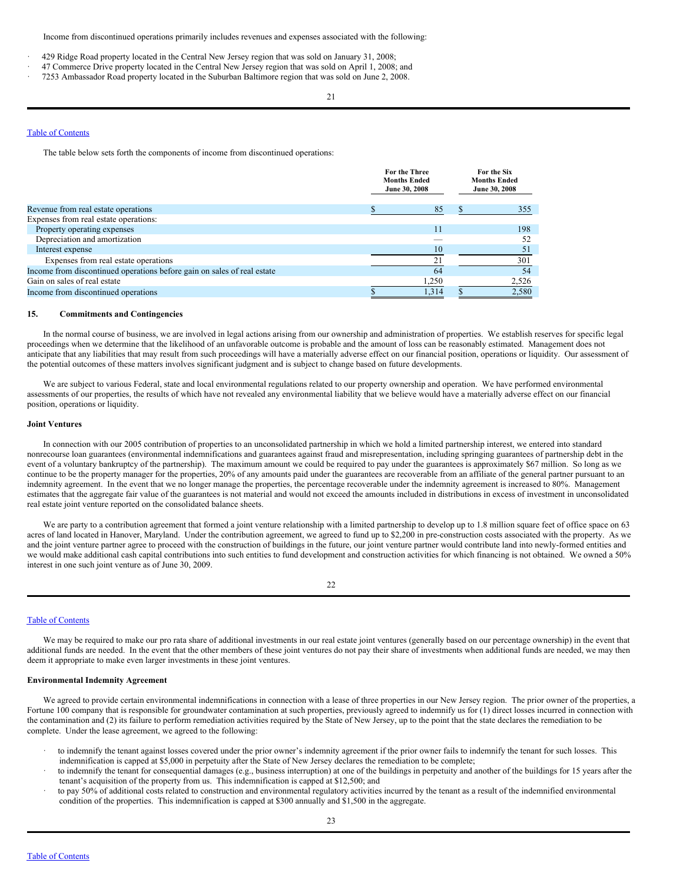Income from discontinued operations primarily includes revenues and expenses associated with the following:

- · 429 Ridge Road property located in the Central New Jersey region that was sold on January 31, 2008;
- · 47 Commerce Drive property located in the Central New Jersey region that was sold on April 1, 2008; and
- · 7253 Ambassador Road property located in the Suburban Baltimore region that was sold on June 2, 2008.
	- 21

### Table of [Contents](#page-0-0)

The table below sets forth the components of income from discontinued operations:

|                                                                         | <b>For the Three</b><br><b>Months Ended</b><br>June 30, 2008 | For the Six<br><b>Months Ended</b><br>June 30, 2008 |       |
|-------------------------------------------------------------------------|--------------------------------------------------------------|-----------------------------------------------------|-------|
| Revenue from real estate operations                                     |                                                              | 85                                                  | 355   |
| Expenses from real estate operations:                                   |                                                              |                                                     |       |
| Property operating expenses                                             |                                                              | 11                                                  | 198   |
| Depreciation and amortization                                           |                                                              |                                                     | 52    |
| Interest expense                                                        |                                                              | 10                                                  | 51    |
| Expenses from real estate operations                                    |                                                              | 21                                                  | 301   |
| Income from discontinued operations before gain on sales of real estate |                                                              | 64                                                  | 54    |
| Gain on sales of real estate                                            |                                                              | 1,250                                               | 2,526 |
| Income from discontinued operations                                     |                                                              | 1,314                                               | 2,580 |

### **15. Commitments and Contingencies**

In the normal course of business, we are involved in legal actions arising from our ownership and administration of properties. We establish reserves for specific legal proceedings when we determine that the likelihood of an unfavorable outcome is probable and the amount of loss can be reasonably estimated. Management does not anticipate that any liabilities that may result from such proceedings will have a materially adverse effect on our financial position, operations or liquidity. Our assessment of the potential outcomes of these matters involves significant judgment and is subject to change based on future developments.

We are subject to various Federal, state and local environmental regulations related to our property ownership and operation. We have performed environmental assessments of our properties, the results of which have not revealed any environmental liability that we believe would have a materially adverse effect on our financial position, operations or liquidity.

#### **Joint Ventures**

In connection with our 2005 contribution of properties to an unconsolidated partnership in which we hold a limited partnership interest, we entered into standard nonrecourse loan guarantees (environmental indemnifications and guarantees against fraud and misrepresentation, including springing guarantees of partnership debt in the event of a voluntary bankruptcy of the partnership). The maximum amount we could be required to pay under the guarantees is approximately \$67 million. So long as we continue to be the property manager for the properties, 20% of any amounts paid under the guarantees are recoverable from an affiliate of the general partner pursuant to an indemnity agreement. In the event that we no longer manage the properties, the percentage recoverable under the indemnity agreement is increased to 80%. Management estimates that the aggregate fair value of the guarantees is not material and would not exceed the amounts included in distributions in excess of investment in unconsolidated real estate joint venture reported on the consolidated balance sheets.

We are party to a contribution agreement that formed a joint venture relationship with a limited partnership to develop up to 1.8 million square feet of office space on 63 acres of land located in Hanover, Maryland. Under the contribution agreement, we agreed to fund up to \$2,200 in pre-construction costs associated with the property. As we and the joint venture partner agree to proceed with the construction of buildings in the future, our joint venture partner would contribute land into newly-formed entities and we would make additional cash capital contributions into such entities to fund development and construction activities for which financing is not obtained. We owned a 50% interest in one such joint venture as of June 30, 2009.

#### 22

### Table of [Contents](#page-0-0)

We may be required to make our pro rata share of additional investments in our real estate joint ventures (generally based on our percentage ownership) in the event that additional funds are needed. In the event that the other members of these joint ventures do not pay their share of investments when additional funds are needed, we may then deem it appropriate to make even larger investments in these joint ventures.

# **Environmental Indemnity Agreement**

We agreed to provide certain environmental indemnifications in connection with a lease of three properties in our New Jersey region. The prior owner of the properties, a Fortune 100 company that is responsible for groundwater contamination at such properties, previously agreed to indemnify us for (1) direct losses incurred in connection with the contamination and (2) its failure to perform remediation activities required by the State of New Jersey, up to the point that the state declares the remediation to be complete. Under the lease agreement, we agreed to the following:

- to indemnify the tenant against losses covered under the prior owner's indemnity agreement if the prior owner fails to indemnify the tenant for such losses. This indemnification is capped at \$5,000 in perpetuity after the State of New Jersey declares the remediation to be complete;
- to indemnify the tenant for consequential damages (e.g., business interruption) at one of the buildings in perpetuity and another of the buildings for 15 years after the tenant's acquisition of the property from us. This indemnification is capped at \$12,500; and
- to pay 50% of additional costs related to construction and environmental regulatory activities incurred by the tenant as a result of the indemnified environmental condition of the properties. This indemnification is capped at \$300 annually and \$1,500 in the aggregate.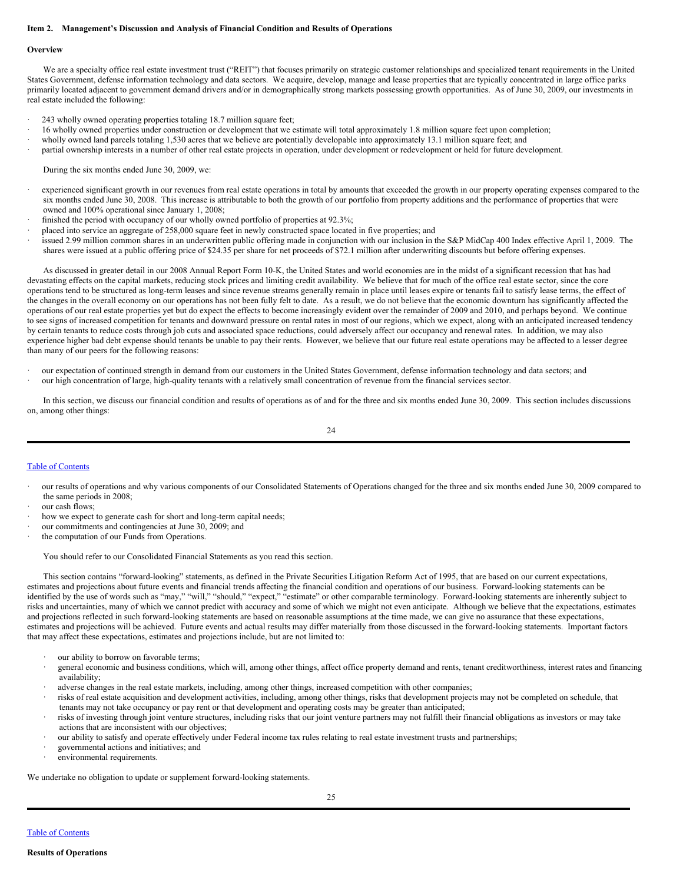### <span id="page-14-0"></span>**Item 2. Management's Discussion and Analysis of Financial Condition and Results of Operations**

#### **Overview**

We are a specialty office real estate investment trust ("REIT") that focuses primarily on strategic customer relationships and specialized tenant requirements in the United States Government, defense information technology and data sectors. We acquire, develop, manage and lease properties that are typically concentrated in large office parks primarily located adjacent to government demand drivers and/or in demographically strong markets possessing growth opportunities. As of June 30, 2009, our investments in real estate included the following:

- 243 wholly owned operating properties totaling 18.7 million square feet;
- · 16 wholly owned properties under construction or development that we estimate will total approximately 1.8 million square feet upon completion;
- wholly owned land parcels totaling 1,530 acres that we believe are potentially developable into approximately 13.1 million square feet; and
- · partial ownership interests in a number of other real estate projects in operation, under development or redevelopment or held for future development.

During the six months ended June 30, 2009, we:

- · experienced significant growth in our revenues from real estate operations in total by amounts that exceeded the growth in our property operating expenses compared to the six months ended June 30, 2008. This increase is attributable to both the growth of our portfolio from property additions and the performance of properties that were owned and 100% operational since January 1, 2008;
- finished the period with occupancy of our wholly owned portfolio of properties at 92.3%;
- placed into service an aggregate of 258,000 square feet in newly constructed space located in five properties; and
- issued 2.99 million common shares in an underwritten public offering made in conjunction with our inclusion in the S&P MidCap 400 Index effective April 1, 2009. The shares were issued at a public offering price of \$24.35 per share for net proceeds of \$72.1 million after underwriting discounts but before offering expenses.

As discussed in greater detail in our 2008 Annual Report Form 10-K, the United States and world economies are in the midst of a significant recession that has had devastating effects on the capital markets, reducing stock prices and limiting credit availability. We believe that for much of the office real estate sector, since the core operations tend to be structured as long-term leases and since revenue streams generally remain in place until leases expire or tenants fail to satisfy lease terms, the effect of the changes in the overall economy on our operations has not been fully felt to date. As a result, we do not believe that the economic downturn has significantly affected the operations of our real estate properties yet but do expect the effects to become increasingly evident over the remainder of 2009 and 2010, and perhaps beyond. We continue to see signs of increased competition for tenants and downward pressure on rental rates in most of our regions, which we expect, along with an anticipated increased tendency by certain tenants to reduce costs through job cuts and associated space reductions, could adversely affect our occupancy and renewal rates. In addition, we may also experience higher bad debt expense should tenants be unable to pay their rents. However, we believe that our future real estate operations may be affected to a lesser degree than many of our peers for the following reasons:

· our expectation of continued strength in demand from our customers in the United States Government, defense information technology and data sectors; and our high concentration of large, high-quality tenants with a relatively small concentration of revenue from the financial services sector.

In this section, we discuss our financial condition and results of operations as of and for the three and six months ended June 30, 2009. This section includes discussions on, among other things:

24

### Table of [Contents](#page-0-0)

- · our results of operations and why various components of our Consolidated Statements of Operations changed for the three and six months ended June 30, 2009 compared to the same periods in 2008;
- our cash flows;
- how we expect to generate cash for short and long-term capital needs;
- our commitments and contingencies at June 30, 2009; and
- the computation of our Funds from Operations.

You should refer to our Consolidated Financial Statements as you read this section.

This section contains "forward-looking" statements, as defined in the Private Securities Litigation Reform Act of 1995, that are based on our current expectations, estimates and projections about future events and financial trends affecting the financial condition and operations of our business. Forward-looking statements can be identified by the use of words such as "may," "will," "should," "expect," "estimate" or other comparable terminology. Forward-looking statements are inherently subject to risks and uncertainties, many of which we cannot predict with accuracy and some of which we might not even anticipate. Although we believe that the expectations, estimates and projections reflected in such forward-looking statements are based on reasonable assumptions at the time made, we can give no assurance that these expectations, estimates and projections will be achieved. Future events and actual results may differ materially from those discussed in the forward-looking statements. Important factors that may affect these expectations, estimates and projections include, but are not limited to:

- our ability to borrow on favorable terms:
- · general economic and business conditions, which will, among other things, affect office property demand and rents, tenant creditworthiness, interest rates and financing availability;
- adverse changes in the real estate markets, including, among other things, increased competition with other companies;
- · risks of real estate acquisition and development activities, including, among other things, risks that development projects may not be completed on schedule, that tenants may not take occupancy or pay rent or that development and operating costs may be greater than anticipated;
- · risks of investing through joint venture structures, including risks that our joint venture partners may not fulfill their financial obligations as investors or may take actions that are inconsistent with our objectives;
- our ability to satisfy and operate effectively under Federal income tax rules relating to real estate investment trusts and partnerships;
- governmental actions and initiatives; and
- environmental requirements.

We undertake no obligation to update or supplement forward-looking statements.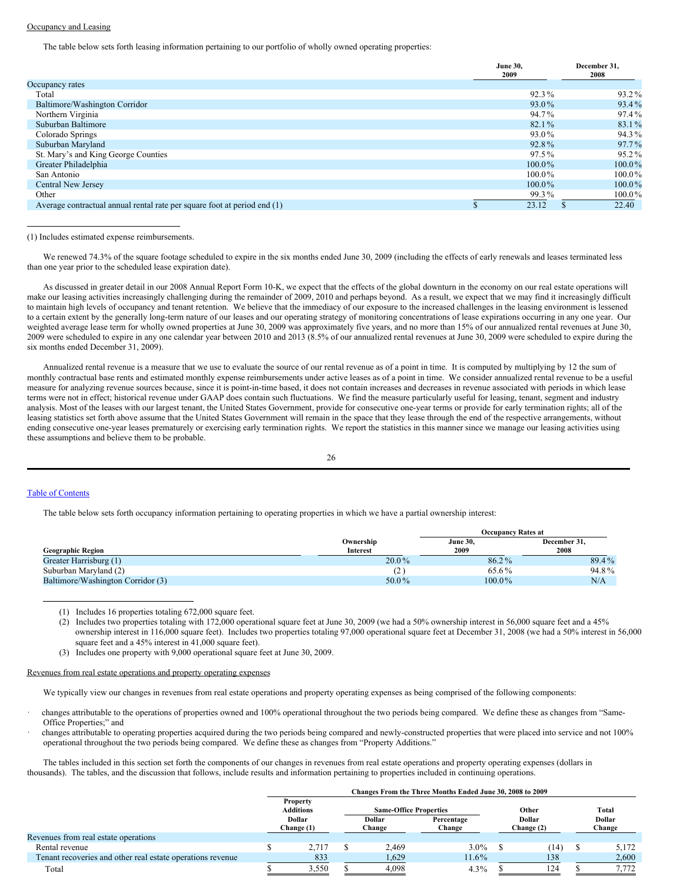### Occupancy and Leasing

The table below sets forth leasing information pertaining to our portfolio of wholly owned operating properties:

|                                                                          | <b>June 30,</b><br>2009 | December 31. |
|--------------------------------------------------------------------------|-------------------------|--------------|
| Occupancy rates                                                          |                         | 2008         |
| Total                                                                    | $92.3\%$                | 93.2%        |
| Baltimore/Washington Corridor                                            | 93.0%                   | 93.4%        |
| Northern Virginia                                                        | 94.7%                   | 97.4%        |
| Suburban Baltimore                                                       | 82.1%                   | 83.1%        |
| Colorado Springs                                                         | 93.0%                   | 94.3%        |
| Suburban Maryland                                                        | 92.8%                   | $97.7\%$     |
| St. Mary's and King George Counties                                      | $97.5\%$                | 95.2%        |
| Greater Philadelphia                                                     | $100.0\%$               | $100.0\%$    |
| San Antonio                                                              | $100.0\%$               | $100.0\%$    |
| Central New Jersey                                                       | $100.0\%$               | $100.0\%$    |
| Other                                                                    | 99.3%                   | $100.0\%$    |
| Average contractual annual rental rate per square foot at period end (1) | 23.12                   | 22.40        |

(1) Includes estimated expense reimbursements.

We renewed 74.3% of the square footage scheduled to expire in the six months ended June 30, 2009 (including the effects of early renewals and leases terminated less than one year prior to the scheduled lease expiration date).

As discussed in greater detail in our 2008 Annual Report Form 10-K, we expect that the effects of the global downturn in the economy on our real estate operations will make our leasing activities increasingly challenging during the remainder of 2009, 2010 and perhaps beyond. As a result, we expect that we may find it increasingly difficult to maintain high levels of occupancy and tenant retention. We believe that the immediacy of our exposure to the increased challenges in the leasing environment is lessened to a certain extent by the generally long-term nature of our leases and our operating strategy of monitoring concentrations of lease expirations occurring in any one year. Our weighted average lease term for wholly owned properties at June 30, 2009 was approximately five years, and no more than 15% of our annualized rental revenues at June 30, 2009 were scheduled to expire in any one calendar year between 2010 and 2013 (8.5% of our annualized rental revenues at June 30, 2009 were scheduled to expire during the six months ended December 31, 2009).

Annualized rental revenue is a measure that we use to evaluate the source of our rental revenue as of a point in time. It is computed by multiplying by 12 the sum of monthly contractual base rents and estimated monthly expense reimbursements under active leases as of a point in time. We consider annualized rental revenue to be a useful measure for analyzing revenue sources because, since it is point-in-time based, it does not contain increases and decreases in revenue associated with periods in which lease terms were not in effect; historical revenue under GAAP does contain such fluctuations. We find the measure particularly useful for leasing, tenant, segment and industry analysis. Most of the leases with our largest tenant, the United States Government, provide for consecutive one-year terms or provide for early termination rights; all of the leasing statistics set forth above assume that the United States Government will remain in the space that they lease through the end of the respective arrangements, without ending consecutive one-year leases prematurely or exercising early termination rights. We report the statistics in this manner since we manage our leasing activities using these assumptions and believe them to be probable.

#### 26

#### Table of [Contents](#page-0-0)

The table below sets forth occupancy information pertaining to operating properties in which we have a partial ownership interest:

|                                   |                 | <b>Occupancy Rates at</b> |              |
|-----------------------------------|-----------------|---------------------------|--------------|
|                                   | Ownership       | <b>June 30,</b>           | December 31, |
| Geographic Region                 | <b>Interest</b> | 2009                      | 2008         |
| Greater Harrisburg (1)            | $20.0\%$        | $86.2\%$                  | 89.4%        |
| Suburban Maryland (2)             | 1 Z             | 65.6%                     | 94.8%        |
| Baltimore/Washington Corridor (3) | 50.0%           | 100.0%                    | N/A          |

(1) Includes 16 properties totaling 672,000 square feet.

(2) Includes two properties totaling with 172,000 operational square feet at June 30, 2009 (we had a 50% ownership interest in 56,000 square feet and a 45% ownership interest in 116,000 square feet). Includes two properties totaling 97,000 operational square feet at December 31, 2008 (we had a 50% interest in 56,000 square feet and a 45% interest in 41,000 square feet).

(3) Includes one property with 9,000 operational square feet at June 30, 2009.

### Revenues from real estate operations and property operating expenses

We typically view our changes in revenues from real estate operations and property operating expenses as being comprised of the following components:

- · changes attributable to the operations of properties owned and 100% operational throughout the two periods being compared. We define these as changes from "Same-Office Properties;" and
- · changes attributable to operating properties acquired during the two periods being compared and newly-constructed properties that were placed into service and not 100% operational throughout the two periods being compared. We define these as changes from "Property Additions."

The tables included in this section set forth the components of our changes in revenues from real estate operations and property operating expenses (dollars in thousands). The tables, and the discussion that follows, include results and information pertaining to properties included in continuing operations.

|                                                            | Changes From the Three Months Ended June 30, 2008 to 2009 |  |                               |                      |  |                      |  |                  |  |  |  |
|------------------------------------------------------------|-----------------------------------------------------------|--|-------------------------------|----------------------|--|----------------------|--|------------------|--|--|--|
|                                                            | <b>Property</b><br><b>Additions</b>                       |  | <b>Same-Office Properties</b> |                      |  | Other                |  | Total            |  |  |  |
|                                                            | Dollar<br>Change (1)                                      |  | Dollar<br>Change              | Percentage<br>Change |  | Dollar<br>Change (2) |  | Dollar<br>Change |  |  |  |
| Revenues from real estate operations                       |                                                           |  |                               |                      |  |                      |  |                  |  |  |  |
| Rental revenue                                             | 2.717                                                     |  | 2.469                         | $3.0\%$              |  | (14)                 |  | 5,172            |  |  |  |
| Tenant recoveries and other real estate operations revenue | 833                                                       |  | 1,629                         | $11.6\%$             |  | 138                  |  | 2,600            |  |  |  |
| Total                                                      | 3.550                                                     |  | 4.098                         | $4.3\%$              |  | 124                  |  | 7.772            |  |  |  |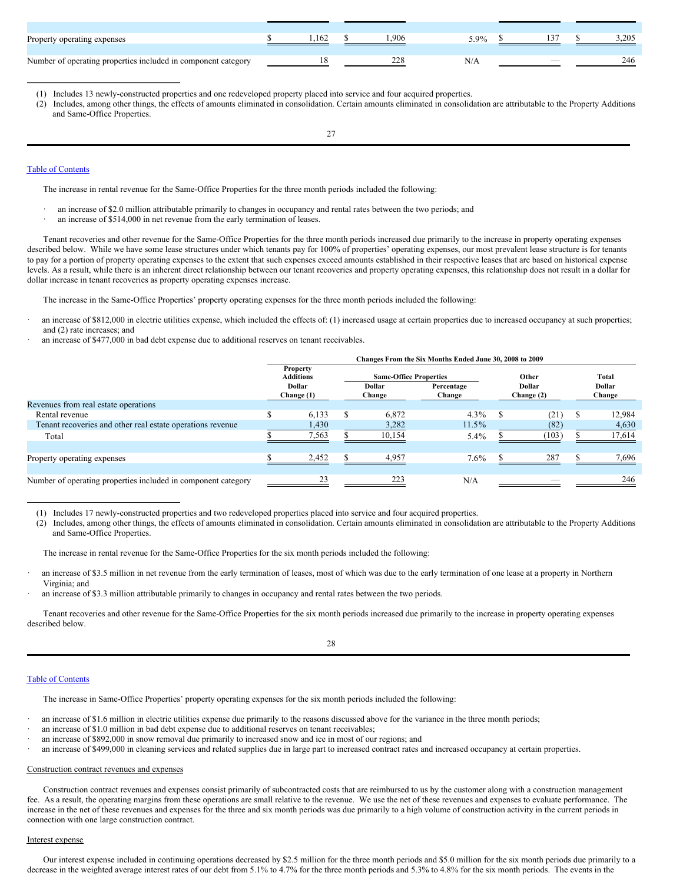| Property operating expenses                                   | 162 | .906 | $\sim 9\%$ |  |     |
|---------------------------------------------------------------|-----|------|------------|--|-----|
|                                                               |     |      |            |  |     |
| Number of operating properties included in component category |     |      | N/A        |  | 246 |

(1) Includes 13 newly-constructed properties and one redeveloped property placed into service and four acquired properties.

(2) Includes, among other things, the effects of amounts eliminated in consolidation. Certain amounts eliminated in consolidation are attributable to the Property Additions and Same-Office Properties.

### Table of [Contents](#page-0-0)

The increase in rental revenue for the Same-Office Properties for the three month periods included the following:

- an increase of \$2.0 million attributable primarily to changes in occupancy and rental rates between the two periods; and
- an increase of \$514,000 in net revenue from the early termination of leases.

Tenant recoveries and other revenue for the Same-Office Properties for the three month periods increased due primarily to the increase in property operating expenses described below. While we have some lease structures under which tenants pay for 100% of properties' operating expenses, our most prevalent lease structure is for tenants to pay for a portion of property operating expenses to the extent that such expenses exceed amounts established in their respective leases that are based on historical expense levels. As a result, while there is an inherent direct relationship between our tenant recoveries and property operating expenses, this relationship does not result in a dollar for dollar increase in tenant recoveries as property operating expenses increase.

The increase in the Same-Office Properties' property operating expenses for the three month periods included the following:

- an increase of \$812,000 in electric utilities expense, which included the effects of: (1) increased usage at certain properties due to increased occupancy at such properties; and (2) rate increases; and
- an increase of \$477,000 in bad debt expense due to additional reserves on tenant receivables.

|                                                               | Changes From the Six Months Ended June 30, 2008 to 2009 |                      |  |                               |                      |  |                             |  |                         |  |  |  |
|---------------------------------------------------------------|---------------------------------------------------------|----------------------|--|-------------------------------|----------------------|--|-----------------------------|--|-------------------------|--|--|--|
|                                                               | <b>Property</b><br><b>Additions</b>                     |                      |  | <b>Same-Office Properties</b> |                      |  | Other                       |  | <b>Total</b>            |  |  |  |
|                                                               |                                                         | Dollar<br>Change (1) |  | <b>Dollar</b><br>Change       | Percentage<br>Change |  | <b>Dollar</b><br>Change (2) |  | <b>Dollar</b><br>Change |  |  |  |
| Revenues from real estate operations                          |                                                         |                      |  |                               |                      |  |                             |  |                         |  |  |  |
| Rental revenue                                                |                                                         | 6,133                |  | 6,872                         | $4.3\%$              |  | (21)                        |  | 12,984                  |  |  |  |
| Tenant recoveries and other real estate operations revenue    |                                                         | 1,430                |  | 3,282                         | 11.5%                |  | (82)                        |  | 4,630                   |  |  |  |
| Total                                                         |                                                         | 7,563                |  | 10,154                        | 5.4%                 |  | (103)                       |  | 17,614                  |  |  |  |
|                                                               |                                                         |                      |  |                               |                      |  |                             |  |                         |  |  |  |
| Property operating expenses                                   |                                                         | 2,452                |  | 4,957                         | 7.6%                 |  | 287                         |  | 7,696                   |  |  |  |
|                                                               |                                                         |                      |  |                               |                      |  |                             |  |                         |  |  |  |
| Number of operating properties included in component category |                                                         | 23                   |  | 223                           | N/A                  |  |                             |  | 246                     |  |  |  |

(1) Includes 17 newly-constructed properties and two redeveloped properties placed into service and four acquired properties.

(2) Includes, among other things, the effects of amounts eliminated in consolidation. Certain amounts eliminated in consolidation are attributable to the Property Additions and Same-Office Properties.

The increase in rental revenue for the Same-Office Properties for the six month periods included the following:

- an increase of \$3.5 million in net revenue from the early termination of leases, most of which was due to the early termination of one lease at a property in Northern Virginia; and
- an increase of \$3.3 million attributable primarily to changes in occupancy and rental rates between the two periods.

Tenant recoveries and other revenue for the Same-Office Properties for the six month periods increased due primarily to the increase in property operating expenses described below.

#### 28

#### Table of [Contents](#page-0-0)

The increase in Same-Office Properties' property operating expenses for the six month periods included the following:

- an increase of \$1.6 million in electric utilities expense due primarily to the reasons discussed above for the variance in the three month periods;
- an increase of \$1.0 million in bad debt expense due to additional reserves on tenant receivables;
- an increase of \$892,000 in snow removal due primarily to increased snow and ice in most of our regions; and
- an increase of \$499,000 in cleaning services and related supplies due in large part to increased contract rates and increased occupancy at certain properties.

#### Construction contract revenues and expenses

Construction contract revenues and expenses consist primarily of subcontracted costs that are reimbursed to us by the customer along with a construction management fee. As a result, the operating margins from these operations are small relative to the revenue. We use the net of these revenues and expenses to evaluate performance. The increase in the net of these revenues and expenses for the three and six month periods was due primarily to a high volume of construction activity in the current periods in connection with one large construction contract.

#### Interest expense

Our interest expense included in continuing operations decreased by \$2.5 million for the three month periods and \$5.0 million for the six month periods due primarily to a decrease in the weighted average interest rates of our debt from 5.1% to 4.7% for the three month periods and 5.3% to 4.8% for the six month periods. The events in the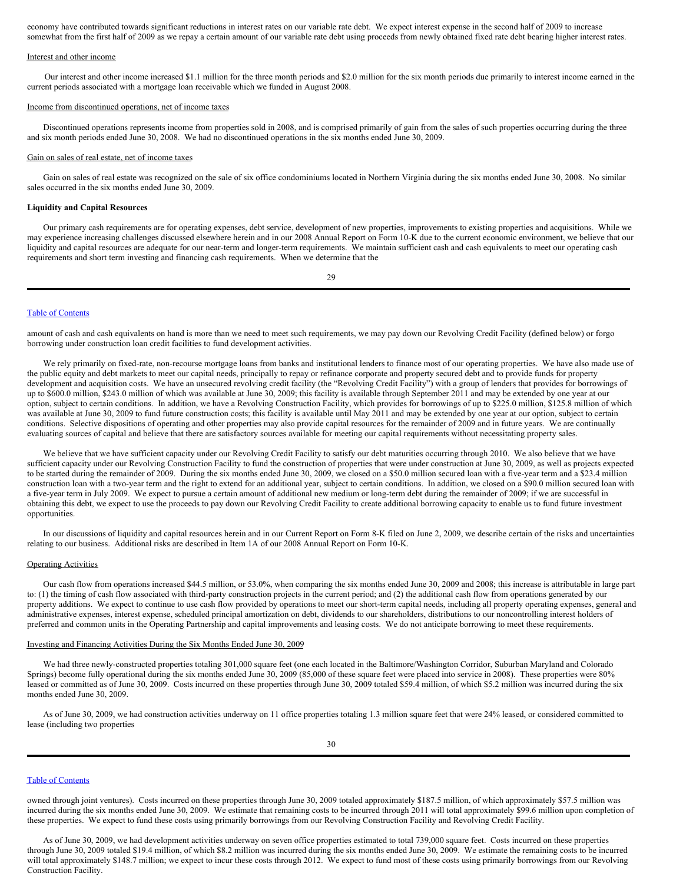economy have contributed towards significant reductions in interest rates on our variable rate debt. We expect interest expense in the second half of 2009 to increase somewhat from the first half of 2009 as we repay a certain amount of our variable rate debt using proceeds from newly obtained fixed rate debt bearing higher interest rates.

#### Interest and other income

Our interest and other income increased \$1.1 million for the three month periods and \$2.0 million for the six month periods due primarily to interest income earned in the current periods associated with a mortgage loan receivable which we funded in August 2008.

#### Income from discontinued operations, net of income taxes

Discontinued operations represents income from properties sold in 2008, and is comprised primarily of gain from the sales of such properties occurring during the three and six month periods ended June 30, 2008. We had no discontinued operations in the six months ended June 30, 2009.

#### Gain on sales of real estate, net of income taxes

Gain on sales of real estate was recognized on the sale of six office condominiums located in Northern Virginia during the six months ended June 30, 2008. No similar sales occurred in the six months ended June 30, 2009.

#### **Liquidity and Capital Resources**

Our primary cash requirements are for operating expenses, debt service, development of new properties, improvements to existing properties and acquisitions. While we may experience increasing challenges discussed elsewhere herein and in our 2008 Annual Report on Form 10-K due to the current economic environment, we believe that our liquidity and capital resources are adequate for our near-term and longer-term requirements. We maintain sufficient cash and cash equivalents to meet our operating cash requirements and short term investing and financing cash requirements. When we determine that the

29

#### Table of [Contents](#page-0-0)

amount of cash and cash equivalents on hand is more than we need to meet such requirements, we may pay down our Revolving Credit Facility (defined below) or forgo borrowing under construction loan credit facilities to fund development activities.

We rely primarily on fixed-rate, non-recourse mortgage loans from banks and institutional lenders to finance most of our operating properties. We have also made use of the public equity and debt markets to meet our capital needs, principally to repay or refinance corporate and property secured debt and to provide funds for property development and acquisition costs. We have an unsecured revolving credit facility (the "Revolving Credit Facility") with a group of lenders that provides for borrowings of up to \$600.0 million, \$243.0 million of which was available at June 30, 2009; this facility is available through September 2011 and may be extended by one year at our option, subject to certain conditions. In addition, we have a Revolving Construction Facility, which provides for borrowings of up to \$225.0 million, \$125.8 million of which was available at June 30, 2009 to fund future construction costs; this facility is available until May 2011 and may be extended by one year at our option, subject to certain conditions. Selective dispositions of operating and other properties may also provide capital resources for the remainder of 2009 and in future years. We are continually evaluating sources of capital and believe that there are satisfactory sources available for meeting our capital requirements without necessitating property sales.

We believe that we have sufficient capacity under our Revolving Credit Facility to satisfy our debt maturities occurring through 2010. We also believe that we have sufficient capacity under our Revolving Construction Facility to fund the construction of properties that were under construction at June 30, 2009, as well as projects expected to be started during the remainder of 2009. During the six months ended June 30, 2009, we closed on a \$50.0 million secured loan with a five-year term and a \$23.4 million construction loan with a two-year term and the right to extend for an additional year, subject to certain conditions. In addition, we closed on a \$90.0 million secured loan with a five-year term in July 2009. We expect to pursue a certain amount of additional new medium or long-term debt during the remainder of 2009; if we are successful in obtaining this debt, we expect to use the proceeds to pay down our Revolving Credit Facility to create additional borrowing capacity to enable us to fund future investment opportunities.

In our discussions of liquidity and capital resources herein and in our Current Report on Form 8-K filed on June 2, 2009, we describe certain of the risks and uncertainties relating to our business. Additional risks are described in Item 1A of our 2008 Annual Report on Form 10-K.

### Operating Activities

Our cash flow from operations increased \$44.5 million, or 53.0%, when comparing the six months ended June 30, 2009 and 2008; this increase is attributable in large part to: (1) the timing of cash flow associated with third-party construction projects in the current period; and (2) the additional cash flow from operations generated by our property additions. We expect to continue to use cash flow provided by operations to meet our short-term capital needs, including all property operating expenses, general and administrative expenses, interest expense, scheduled principal amortization on debt, dividends to our shareholders, distributions to our noncontrolling interest holders of preferred and common units in the Operating Partnership and capital improvements and leasing costs. We do not anticipate borrowing to meet these requirements.

### Investing and Financing Activities During the Six Months Ended June 30, 2009

We had three newly-constructed properties totaling 301,000 square feet (one each located in the Baltimore/Washington Corridor, Suburban Maryland and Colorado Springs) become fully operational during the six months ended June 30, 2009 (85,000 of these square feet were placed into service in 2008). These properties were 80% leased or committed as of June 30, 2009. Costs incurred on these properties through June 30, 2009 totaled \$59.4 million, of which \$5.2 million was incurred during the six months ended June 30, 2009.

As of June 30, 2009, we had construction activities underway on 11 office properties totaling 1.3 million square feet that were 24% leased, or considered committed to lease (including two properties

### Table of [Contents](#page-0-0)

owned through joint ventures). Costs incurred on these properties through June 30, 2009 totaled approximately \$187.5 million, of which approximately \$57.5 million was incurred during the six months ended June 30, 2009. We estimate that remaining costs to be incurred through 2011 will total approximately \$99.6 million upon completion of these properties. We expect to fund these costs using primarily borrowings from our Revolving Construction Facility and Revolving Credit Facility.

As of June 30, 2009, we had development activities underway on seven office properties estimated to total 739,000 square feet. Costs incurred on these properties through June 30, 2009 totaled \$19.4 million, of which \$8.2 million was incurred during the six months ended June 30, 2009. We estimate the remaining costs to be incurred will total approximately \$148.7 million; we expect to incur these costs through 2012. We expect to fund most of these costs using primarily borrowings from our Revolving Construction Facility.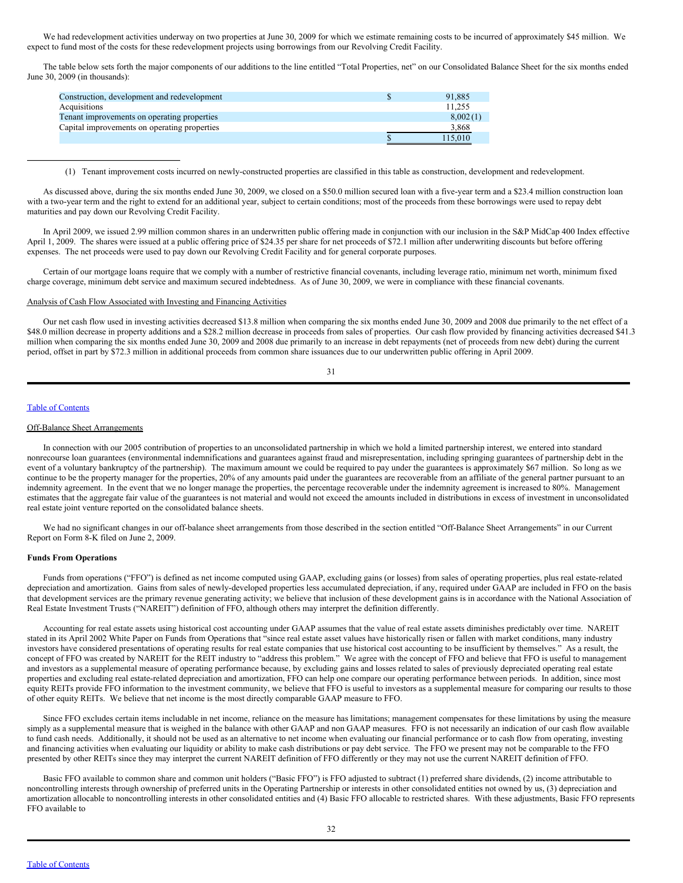We had redevelopment activities underway on two properties at June 30, 2009 for which we estimate remaining costs to be incurred of approximately \$45 million. We expect to fund most of the costs for these redevelopment projects using borrowings from our Revolving Credit Facility.

The table below sets forth the major components of our additions to the line entitled "Total Properties, net" on our Consolidated Balance Sheet for the six months ended June 30, 2009 (in thousands):

| Construction, development and redevelopment  | 91.885   |
|----------------------------------------------|----------|
| Acquisitions                                 | 11.255   |
| Tenant improvements on operating properties  | 8.002(1) |
| Capital improvements on operating properties | 3.868    |
|                                              | 115,010  |
|                                              |          |

(1) Tenant improvement costs incurred on newly-constructed properties are classified in this table as construction, development and redevelopment.

As discussed above, during the six months ended June 30, 2009, we closed on a \$50.0 million secured loan with a five-year term and a \$23.4 million construction loan with a two-year term and the right to extend for an additional year, subject to certain conditions; most of the proceeds from these borrowings were used to repay debt maturities and pay down our Revolving Credit Facility.

In April 2009, we issued 2.99 million common shares in an underwritten public offering made in conjunction with our inclusion in the S&P MidCap 400 Index effective April 1, 2009. The shares were issued at a public offering price of \$24.35 per share for net proceeds of \$72.1 million after underwriting discounts but before offering expenses. The net proceeds were used to pay down our Revolving Credit Facility and for general corporate purposes.

Certain of our mortgage loans require that we comply with a number of restrictive financial covenants, including leverage ratio, minimum net worth, minimum fixed charge coverage, minimum debt service and maximum secured indebtedness. As of June 30, 2009, we were in compliance with these financial covenants.

#### Analysis of Cash Flow Associated with Investing and Financing Activities

Our net cash flow used in investing activities decreased \$13.8 million when comparing the six months ended June 30, 2009 and 2008 due primarily to the net effect of a \$48.0 million decrease in property additions and a \$28.2 million decrease in proceeds from sales of properties. Our cash flow provided by financing activities decreased \$41.3 million when comparing the six months ended June 30, 2009 and 2008 due primarily to an increase in debt repayments (net of proceeds from new debt) during the current period, offset in part by \$72.3 million in additional proceeds from common share issuances due to our underwritten public offering in April 2009.

| I<br>I<br>v<br>۰. |  |
|-------------------|--|
|                   |  |

#### Table of [Contents](#page-0-0)

### Off-Balance Sheet Arrangements

In connection with our 2005 contribution of properties to an unconsolidated partnership in which we hold a limited partnership interest, we entered into standard nonrecourse loan guarantees (environmental indemnifications and guarantees against fraud and misrepresentation, including springing guarantees of partnership debt in the event of a voluntary bankruptcy of the partnership). The maximum amount we could be required to pay under the guarantees is approximately \$67 million. So long as we continue to be the property manager for the properties, 20% of any amounts paid under the guarantees are recoverable from an affiliate of the general partner pursuant to an indemnity agreement. In the event that we no longer manage the properties, the percentage recoverable under the indemnity agreement is increased to 80%. Management estimates that the aggregate fair value of the guarantees is not material and would not exceed the amounts included in distributions in excess of investment in unconsolidated real estate joint venture reported on the consolidated balance sheets.

We had no significant changes in our off-balance sheet arrangements from those described in the section entitled "Off-Balance Sheet Arrangements" in our Current Report on Form 8-K filed on June 2, 2009.

#### **Funds From Operations**

Funds from operations ("FFO") is defined as net income computed using GAAP, excluding gains (or losses) from sales of operating properties, plus real estate-related depreciation and amortization. Gains from sales of newly-developed properties less accumulated depreciation, if any, required under GAAP are included in FFO on the basis that development services are the primary revenue generating activity; we believe that inclusion of these development gains is in accordance with the National Association of Real Estate Investment Trusts ("NAREIT") definition of FFO, although others may interpret the definition differently.

Accounting for real estate assets using historical cost accounting under GAAP assumes that the value of real estate assets diminishes predictably over time. NAREIT stated in its April 2002 White Paper on Funds from Operations that "since real estate asset values have historically risen or fallen with market conditions, many industry investors have considered presentations of operating results for real estate companies that use historical cost accounting to be insufficient by themselves." As a result, the concept of FFO was created by NAREIT for the REIT industry to "address this problem." We agree with the concept of FFO and believe that FFO is useful to management and investors as a supplemental measure of operating performance because, by excluding gains and losses related to sales of previously depreciated operating real estate properties and excluding real estate-related depreciation and amortization, FFO can help one compare our operating performance between periods. In addition, since most equity REITs provide FFO information to the investment community, we believe that FFO is useful to investors as a supplemental measure for comparing our results to those of other equity REITs. We believe that net income is the most directly comparable GAAP measure to FFO.

Since FFO excludes certain items includable in net income, reliance on the measure has limitations; management compensates for these limitations by using the measure simply as a supplemental measure that is weighed in the balance with other GAAP and non GAAP measures. FFO is not necessarily an indication of our cash flow available to fund cash needs. Additionally, it should not be used as an alternative to net income when evaluating our financial performance or to cash flow from operating, investing and financing activities when evaluating our liquidity or ability to make cash distributions or pay debt service. The FFO we present may not be comparable to the FFO presented by other REITs since they may interpret the current NAREIT definition of FFO differently or they may not use the current NAREIT definition of FFO.

Basic FFO available to common share and common unit holders ("Basic FFO") is FFO adjusted to subtract (1) preferred share dividends, (2) income attributable to noncontrolling interests through ownership of preferred units in the Operating Partnership or interests in other consolidated entities not owned by us, (3) depreciation and amortization allocable to noncontrolling interests in other consolidated entities and (4) Basic FFO allocable to restricted shares. With these adjustments, Basic FFO represents FFO available to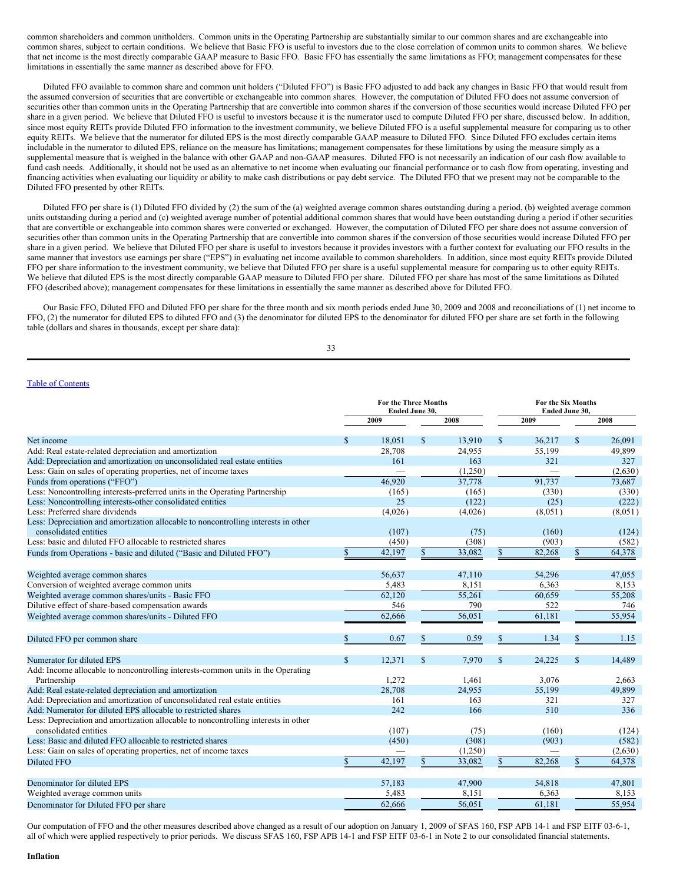common shareholders and common unitholders. Common units in the Operating Partnership are substantially similar to our common shares and are exchangeable into common shares, subject to certain conditions. We believe that Basic FFO is useful to investors due to the close correlation of common units to common shares. We believe that net income is the most directly comparable GAAP measure to Basic FFO. Basic FFO has essentially the same limitations as FFO; management compensates for these limitations in essentially the same manner as described above for FFO.

Diluted FFO available to common share and common unit holders ("Diluted FFO") is Basic FFO adjusted to add back any changes in Basic FFO that would result from the assumed conversion of securities that are convertible or exchangeable into common shares. However, the computation of Diluted FFO does not assume conversion of securities other than common units in the Operating Partnership that are convertible into common shares if the conversion of those securities would increase Diluted FFO per share in a given period. We believe that Diluted FFO is useful to investors because it is the numerator used to compute Diluted FFO per share, discussed below. In addition, since most equity REITs provide Diluted FFO information to the investment community, we believe Diluted FFO is a useful supplemental measure for comparing us to other equity REITs. We believe that the numerator for diluted EPS is the most directly comparable GAAP measure to Diluted FFO. Since Diluted FFO excludes certain items includable in the numerator to diluted EPS, reliance on the measure has limitations; management compensates for these limitations by using the measure simply as a supplemental measure that is weighed in the balance with other GAAP and non-GAAP measures. Diluted FFO is not necessarily an indication of our cash flow available to fund cash needs. Additionally, it should not be used as an alternative to net income when evaluating our financial performance or to cash flow from operating, investing and financing activities when evaluating our liquidity or ability to make cash distributions or pay debt service. The Diluted FFO that we present may not be comparable to the Diluted FFO presented by other REITs.

Diluted FFO per share is (1) Diluted FFO divided by (2) the sum of the (a) weighted average common shares outstanding during a period, (b) weighted average common units outstanding during a period and (c) weighted average number of potential additional common shares that would have been outstanding during a period if other securities that are convertible or exchangeable into common shares were converted or exchanged. However, the computation of Diluted FFO per share does not assume conversion of securities other than common units in the Operating Partnership that are convertible into common shares if the conversion of those securities would increase Diluted FFO per share in a given period. We believe that Diluted FFO per share is useful to investors because it provides investors with a further context for evaluating our FFO results in the same manner that investors use earnings per share ("EPS") in evaluating net income available to common shareholders. In addition, since most equity REITs provide Diluted FFO per share information to the investment community, we believe that Diluted FFO per share is a useful supplemental measure for comparing us to other equity REITs. We believe that diluted EPS is the most directly comparable GAAP measure to Diluted FFO per share. Diluted FFO per share has most of the same limitations as Diluted FFO (described above); management compensates for these limitations in essentially the same manner as described above for Diluted FFO.

Our Basic FFO, Diluted FFO and Diluted FFO per share for the three month and six month periods ended June 30, 2009 and 2008 and reconciliations of (1) net income to FFO, (2) the numerator for diluted EPS to diluted FFO and (3) the denominator for diluted EPS to the denominator for diluted FFO per share are set forth in the following table (dollars and shares in thousands, except per share data):

Table of [Contents](#page-0-0)

|                                                                                    |              | For the Three Months<br>Ended June 30, |              |         |              | For the Six Months<br>Ended June 30, |              |         |
|------------------------------------------------------------------------------------|--------------|----------------------------------------|--------------|---------|--------------|--------------------------------------|--------------|---------|
|                                                                                    |              | 2009                                   |              | 2008    |              | 2009                                 |              | 2008    |
| Net income                                                                         |              | 18,051                                 | $\mathbb{S}$ | 13,910  | $\mathbb{S}$ | 36,217                               | $\mathbb{S}$ | 26.091  |
| Add: Real estate-related depreciation and amortization                             |              | 28,708                                 |              | 24,955  |              | 55,199                               |              | 49,899  |
| Add: Depreciation and amortization on unconsolidated real estate entities          |              | 161                                    |              | 163     |              | 321                                  |              | 327     |
| Less: Gain on sales of operating properties, net of income taxes                   |              |                                        |              | (1,250) |              |                                      |              | (2,630) |
| Funds from operations ("FFO")                                                      |              | 46.920                                 |              | 37,778  |              | 91,737                               |              | 73,687  |
| Less: Noncontrolling interests-preferred units in the Operating Partnership        |              | (165)                                  |              | (165)   |              | (330)                                |              | (330)   |
| Less: Noncontrolling interests-other consolidated entities                         |              | 25                                     |              | (122)   |              | (25)                                 |              | (222)   |
| Less: Preferred share dividends                                                    |              | (4,026)                                |              | (4,026) |              | (8,051)                              |              | (8,051) |
| Less: Depreciation and amortization allocable to noncontrolling interests in other |              |                                        |              |         |              |                                      |              |         |
| consolidated entities                                                              |              | (107)                                  |              | (75)    |              | (160)                                |              | (124)   |
| Less: basic and diluted FFO allocable to restricted shares                         |              | (450)                                  |              | (308)   |              | (903)                                |              | (582)   |
| Funds from Operations - basic and diluted ("Basic and Diluted FFO")                | S            | 42,197                                 | $\mathbb{S}$ | 33,082  | $\mathbb{S}$ | 82,268                               | $\mathbb{S}$ | 64,378  |
| Weighted average common shares                                                     |              | 56,637                                 |              | 47,110  |              | 54,296                               |              | 47,055  |
| Conversion of weighted average common units                                        |              | 5,483                                  |              | 8,151   |              | 6.363                                |              | 8,153   |
| Weighted average common shares/units - Basic FFO                                   |              | 62,120                                 |              | 55,261  |              | 60,659                               |              | 55,208  |
| Dilutive effect of share-based compensation awards                                 |              | 546                                    |              | 790     |              | 522                                  |              | 746     |
| Weighted average common shares/units - Diluted FFO                                 |              | 62,666                                 |              | 56,051  |              | 61,181                               |              | 55,954  |
| Diluted FFO per common share                                                       |              | 0.67                                   | \$           | 0.59    | \$           | 1.34                                 | \$           | 1.15    |
|                                                                                    |              |                                        |              |         |              |                                      |              |         |
| Numerator for diluted EPS                                                          | $\mathbb{S}$ | 12,371                                 | $\mathbb{S}$ | 7,970   | \$           | 24,225                               | $\mathbb{S}$ | 14,489  |
| Add: Income allocable to noncontrolling interests-common units in the Operating    |              |                                        |              |         |              |                                      |              |         |
| Partnership                                                                        |              | 1,272                                  |              | 1,461   |              | 3,076                                |              | 2,663   |
| Add: Real estate-related depreciation and amortization                             |              | 28,708                                 |              | 24,955  |              | 55,199                               |              | 49,899  |
| Add: Depreciation and amortization of unconsolidated real estate entities          |              | 161                                    |              | 163     |              | 321                                  |              | 327     |
| Add: Numerator for diluted EPS allocable to restricted shares                      |              | 242                                    |              | 166     |              | 510                                  |              | 336     |
| Less: Depreciation and amortization allocable to noncontrolling interests in other |              |                                        |              |         |              |                                      |              |         |
| consolidated entities                                                              |              | (107)                                  |              | (75)    |              | (160)                                |              | (124)   |
| Less: Basic and diluted FFO allocable to restricted shares                         |              | (450)                                  |              | (308)   |              | (903)                                |              | (582)   |
| Less: Gain on sales of operating properties, net of income taxes                   |              |                                        |              | (1,250) |              |                                      |              | (2,630) |
| <b>Diluted FFO</b>                                                                 | $\mathbb{S}$ | 42,197                                 | $\mathbb{S}$ | 33,082  | \$           | 82,268                               | $\mathbf S$  | 64,378  |
| Denominator for diluted EPS                                                        |              | 57,183                                 |              | 47,900  |              | 54,818                               |              | 47,801  |
| Weighted average common units                                                      |              | 5,483                                  |              | 8,151   |              | 6,363                                |              | 8,153   |
| Denominator for Diluted FFO per share                                              |              | 62.666                                 |              | 56,051  |              | 61.181                               |              | 55,954  |

Our computation of FFO and the other measures described above changed as a result of our adoption on January 1, 2009 of SFAS 160, FSP APB 14-1 and FSP EITF 03-6-1, all of which were applied respectively to prior periods. We discuss SFAS 160, FSP APB 14-1 and FSP EITF 03-6-1 in Note 2 to our consolidated financial statements.

<sup>33</sup>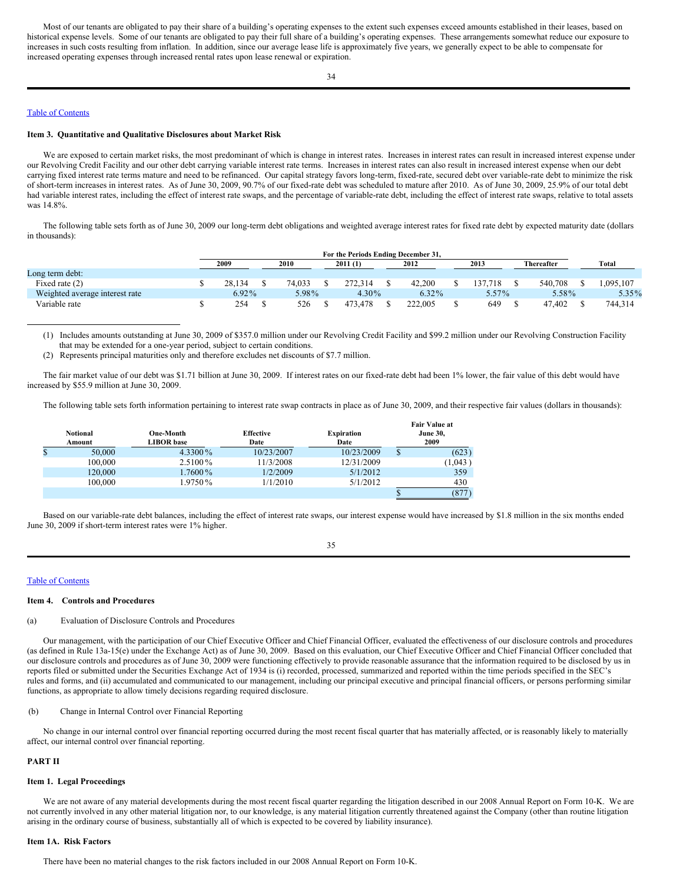Most of our tenants are obligated to pay their share of a building's operating expenses to the extent such expenses exceed amounts established in their leases, based on historical expense levels. Some of our tenants are obligated to pay their full share of a building's operating expenses. These arrangements somewhat reduce our exposure to increases in such costs resulting from inflation. In addition, since our average lease life is approximately five years, we generally expect to be able to compensate for increased operating expenses through increased rental rates upon lease renewal or expiration.

# Table of [Contents](#page-0-0)

### <span id="page-20-0"></span>**Item 3. Quantitative and Qualitative Disclosures about Market Risk**

We are exposed to certain market risks, the most predominant of which is change in interest rates. Increases in interest rates can result in increased interest expense under our Revolving Credit Facility and our other debt carrying variable interest rate terms. Increases in interest rates can also result in increased interest expense when our debt carrying fixed interest rate terms mature and need to be refinanced. Our capital strategy favors long-term, fixed-rate, secured debt over variable-rate debt to minimize the risk of short-term increases in interest rates. As of June 30, 2009, 90.7% of our fixed-rate debt was scheduled to mature after 2010. As of June 30, 2009, 25.9% of our total debt had variable interest rates, including the effect of interest rate swaps, and the percentage of variable-rate debt, including the effect of interest rate swaps, relative to total assets was 14.8%.

The following table sets forth as of June 30, 2009 our long-term debt obligations and weighted average interest rates for fixed rate debt by expected maturity date (dollars in thousands):

|                                | For the Periods Ending December 31, |  |        |  |          |  |          |  |       |  |                   |  |           |
|--------------------------------|-------------------------------------|--|--------|--|----------|--|----------|--|-------|--|-------------------|--|-----------|
|                                | 2009                                |  | 2010   |  | 2011 (1) |  | 2012     |  | 2013  |  | <b>Thereafter</b> |  | Total     |
| Long term debt:                |                                     |  |        |  |          |  |          |  |       |  |                   |  |           |
| Fixed rate $(2)$               | 28.134                              |  | 74.033 |  | 272.314  |  | 42,200   |  |       |  | 540,708           |  | 1.095.107 |
| Weighted average interest rate | 6.92%                               |  | 5.98%  |  | $4.30\%$ |  | $6.32\%$ |  | 5.57% |  | 5.58%             |  | 5.35%     |
| Variable rate                  | 254                                 |  | 526    |  | 473,478  |  | 222,005  |  | 649   |  | 47.402            |  | 744,314   |

(1) Includes amounts outstanding at June 30, 2009 of \$357.0 million under our Revolving Credit Facility and \$99.2 million under our Revolving Construction Facility that may be extended for a one-year period, subject to certain conditions.

(2) Represents principal maturities only and therefore excludes net discounts of \$7.7 million.

The fair market value of our debt was \$1.71 billion at June 30, 2009. If interest rates on our fixed-rate debt had been 1% lower, the fair value of this debt would have increased by \$55.9 million at June 30, 2009.

The following table sets forth information pertaining to interest rate swap contracts in place as of June 30, 2009, and their respective fair values (dollars in thousands):

|   | <b>Notional</b><br>Amount | One-Month<br><b>LIBOR</b> base | <b>Effective</b><br>Date | <b>Expiration</b><br>Date | <b>Fair Value at</b><br><b>June 30,</b><br>2009 |
|---|---------------------------|--------------------------------|--------------------------|---------------------------|-------------------------------------------------|
| S | 50,000                    | $4.3300\%$                     | 10/23/2007               | 10/23/2009                | \$<br>(623)                                     |
|   | 100,000                   | $2.5100\%$                     | 11/3/2008                | 12/31/2009                | (1,043)                                         |
|   | 120,000                   | 1.7600%                        | 1/2/2009                 | 5/1/2012                  | 359                                             |
|   | 100,000                   | $1.9750\%$                     | 1/1/2010                 | 5/1/2012                  | 430                                             |
|   |                           |                                |                          |                           | (877                                            |

Based on our variable-rate debt balances, including the effect of interest rate swaps, our interest expense would have increased by \$1.8 million in the six months ended June 30, 2009 if short-term interest rates were 1% higher.

| I<br>۹<br>$\sim$ | ۰.<br>۰.<br>$\sim$ |
|------------------|--------------------|

#### Table of [Contents](#page-0-0)

### <span id="page-20-1"></span>**Item 4. Controls and Procedures**

### (a) Evaluation of Disclosure Controls and Procedures

Our management, with the participation of our Chief Executive Officer and Chief Financial Officer, evaluated the effectiveness of our disclosure controls and procedures (as defined in Rule 13a-15(e) under the Exchange Act) as of June 30, 2009. Based on this evaluation, our Chief Executive Officer and Chief Financial Officer concluded that our disclosure controls and procedures as of June 30, 2009 were functioning effectively to provide reasonable assurance that the information required to be disclosed by us in reports filed or submitted under the Securities Exchange Act of 1934 is (i) recorded, processed, summarized and reported within the time periods specified in the SEC's rules and forms, and (ii) accumulated and communicated to our management, including our principal executive and principal financial officers, or persons performing similar functions, as appropriate to allow timely decisions regarding required disclosure.

### (b) Change in Internal Control over Financial Reporting

No change in our internal control over financial reporting occurred during the most recent fiscal quarter that has materially affected, or is reasonably likely to materially affect, our internal control over financial reporting.

#### <span id="page-20-2"></span>**PART II**

#### <span id="page-20-3"></span>**Item 1. Legal Proceedings**

We are not aware of any material developments during the most recent fiscal quarter regarding the litigation described in our 2008 Annual Report on Form 10-K. We are not currently involved in any other material litigation nor, to our knowledge, is any material litigation currently threatened against the Company (other than routine litigation arising in the ordinary course of business, substantially all of which is expected to be covered by liability insurance).

#### **Item 1A. Risk Factors**

<span id="page-20-4"></span>There have been no material changes to the risk factors included in our 2008 Annual Report on Form 10-K.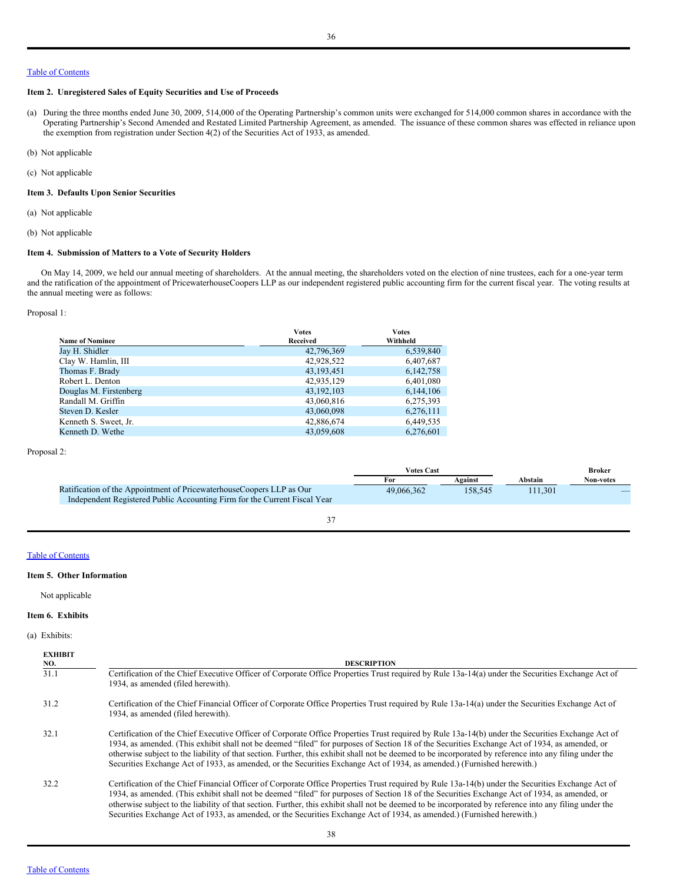### Table of [Contents](#page-0-0)

### <span id="page-21-0"></span>**Item 2. Unregistered Sales of Equity Securities and Use of Proceeds**

- (a) During the three months ended June 30, 2009, 514,000 of the Operating Partnership's common units were exchanged for 514,000 common shares in accordance with the Operating Partnership's Second Amended and Restated Limited Partnership Agreement, as amended. The issuance of these common shares was effected in reliance upon the exemption from registration under Section 4(2) of the Securities Act of 1933, as amended.
- (b) Not applicable
- (c) Not applicable

#### <span id="page-21-1"></span>**Item 3. Defaults Upon Senior Securities**

- (a) Not applicable
- (b) Not applicable

### **Item 4. Submission of Matters to a Vote of Security Holders**

On May 14, 2009, we held our annual meeting of shareholders. At the annual meeting, the shareholders voted on the election of nine trustees, each for a one-year term and the ratification of the appointment of PricewaterhouseCoopers LLP as our independent registered public accounting firm for the current fiscal year. The voting results at the annual meeting were as follows:

### Proposal 1:

<span id="page-21-2"></span>

|                        | <b>Votes</b>    | <b>Votes</b> |  |
|------------------------|-----------------|--------------|--|
| <b>Name of Nominee</b> | <b>Received</b> | Withheld     |  |
| Jay H. Shidler         | 42,796,369      | 6,539,840    |  |
| Clay W. Hamlin, III    | 42,928,522      | 6,407,687    |  |
| Thomas F. Brady        | 43, 193, 451    | 6,142,758    |  |
| Robert L. Denton       | 42,935,129      | 6,401,080    |  |
| Douglas M. Firstenberg | 43, 192, 103    | 6,144,106    |  |
| Randall M. Griffin     | 43,060,816      | 6,275,393    |  |
| Steven D. Kesler       | 43,060,098      | 6,276,111    |  |
| Kenneth S. Sweet, Jr.  | 42,886,674      | 6,449,535    |  |
| Kenneth D. Wethe       | 43,059,608      | 6,276,601    |  |

### Proposal 2:

|                                                                                                                                                   | <b>Votes Cast</b> |         | <b>Broker</b> |           |
|---------------------------------------------------------------------------------------------------------------------------------------------------|-------------------|---------|---------------|-----------|
|                                                                                                                                                   | For               | Against | Abstain       | Non-votes |
| Ratification of the Appointment of PricewaterhouseCoopers LLP as Our<br>Independent Registered Public Accounting Firm for the Current Fiscal Year | 49,066,362        | 158.545 | 111.301       |           |

37

# Table of [Contents](#page-0-0)

### **Item 5. Other Information**

<span id="page-21-4"></span><span id="page-21-3"></span>Not applicable

### **Item 6. Exhibits**

(a) Exhibits:

| <b>EXHIBIT</b> |                                                                                                                                                                                                                                                                                                                                                                                                                                                                                                                                                                                          |
|----------------|------------------------------------------------------------------------------------------------------------------------------------------------------------------------------------------------------------------------------------------------------------------------------------------------------------------------------------------------------------------------------------------------------------------------------------------------------------------------------------------------------------------------------------------------------------------------------------------|
| NO.            | <b>DESCRIPTION</b>                                                                                                                                                                                                                                                                                                                                                                                                                                                                                                                                                                       |
| 31.1           | Certification of the Chief Executive Officer of Corporate Office Properties Trust required by Rule 13a-14(a) under the Securities Exchange Act of<br>1934, as amended (filed herewith).                                                                                                                                                                                                                                                                                                                                                                                                  |
| 31.2           | Certification of the Chief Financial Officer of Corporate Office Properties Trust required by Rule 13a-14(a) under the Securities Exchange Act of<br>1934, as amended (filed herewith).                                                                                                                                                                                                                                                                                                                                                                                                  |
| 32.1           | Certification of the Chief Executive Officer of Corporate Office Properties Trust required by Rule 13a-14(b) under the Securities Exchange Act of<br>1934, as amended. (This exhibit shall not be deemed "filed" for purposes of Section 18 of the Securities Exchange Act of 1934, as amended, or<br>otherwise subject to the liability of that section. Further, this exhibit shall not be deemed to be incorporated by reference into any filing under the<br>Securities Exchange Act of 1933, as amended, or the Securities Exchange Act of 1934, as amended.) (Furnished herewith.) |
| 32.2           | Certification of the Chief Financial Officer of Corporate Office Properties Trust required by Rule 13a-14(b) under the Securities Exchange Act of<br>1934, as amended. (This exhibit shall not be deemed "filed" for purposes of Section 18 of the Securities Exchange Act of 1934, as amended, or<br>otherwise subject to the liability of that section. Further, this exhibit shall not be deemed to be incorporated by reference into any filing under the<br>Securities Exchange Act of 1933, as amended, or the Securities Exchange Act of 1934, as amended.) (Furnished herewith.) |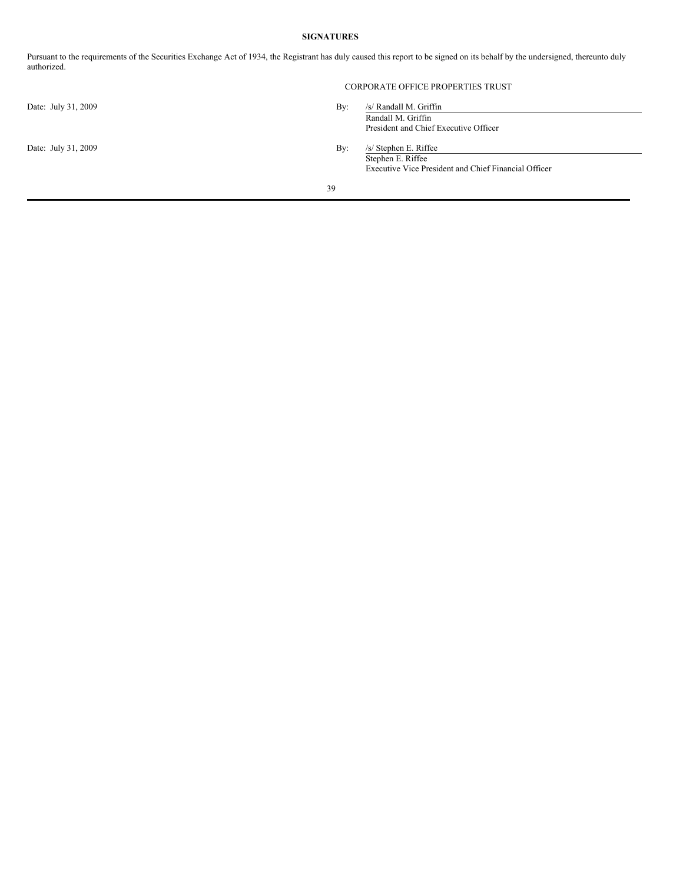# <span id="page-22-0"></span>**SIGNATURES**

Pursuant to the requirements of the Securities Exchange Act of 1934, the Registrant has duly caused this report to be signed on its behalf by the undersigned, thereunto duly authorized.

|                     | <b>CORPORATE OFFICE PROPERTIES TRUST</b> |                                                                                                    |
|---------------------|------------------------------------------|----------------------------------------------------------------------------------------------------|
| Date: July 31, 2009 | By:                                      | /s/ Randall M. Griffin<br>Randall M. Griffin<br>President and Chief Executive Officer              |
| Date: July 31, 2009 | By:                                      | /s/ Stephen E. Riffee<br>Stephen E. Riffee<br>Executive Vice President and Chief Financial Officer |
|                     | 39                                       |                                                                                                    |
|                     |                                          |                                                                                                    |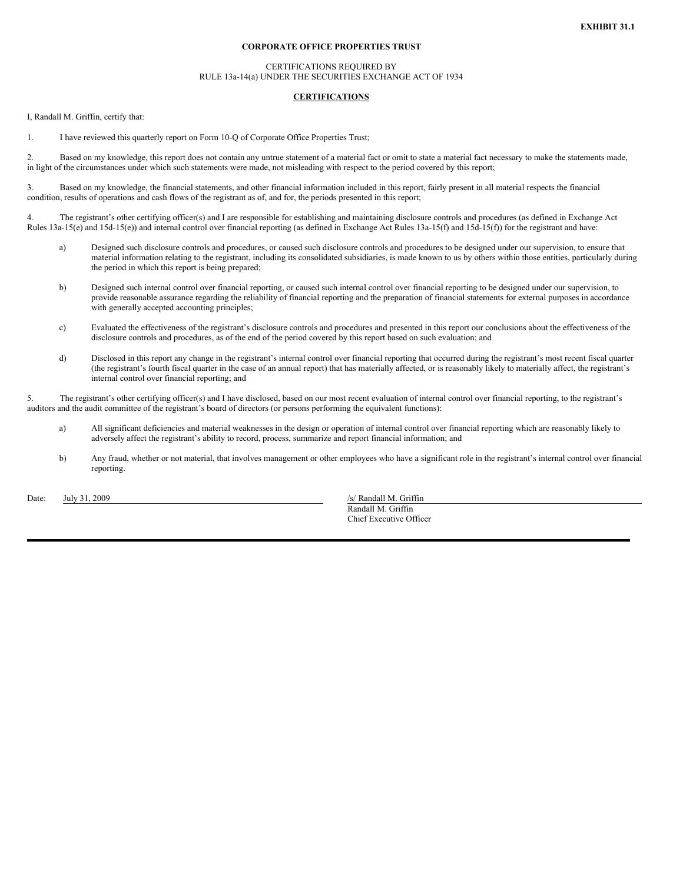### CERTIFICATIONS REQUIRED BY RULE 13a-14(a) UNDER THE SECURITIES EXCHANGE ACT OF 1934

#### **CERTIFICATIONS**

I, Randall M. Griffin, certify that:

1. I have reviewed this quarterly report on Form 10-Q of Corporate Office Properties Trust;

2. Based on my knowledge, this report does not contain any untrue statement of a material fact or omit to state a material fact necessary to make the statements made, in light of the circumstances under which such statements were made, not misleading with respect to the period covered by this report;

3. Based on my knowledge, the financial statements, and other financial information included in this report, fairly present in all material respects the financial condition, results of operations and cash flows of the registrant as of, and for, the periods presented in this report;

4. The registrant's other certifying officer(s) and I are responsible for establishing and maintaining disclosure controls and procedures (as defined in Exchange Act Rules 13a-15(e) and 15d-15(e)) and internal control over financial reporting (as defined in Exchange Act Rules 13a-15(f) and 15d-15(f)) for the registrant and have:

- a) Designed such disclosure controls and procedures, or caused such disclosure controls and procedures to be designed under our supervision, to ensure that material information relating to the registrant, including its consolidated subsidiaries, is made known to us by others within those entities, particularly during the period in which this report is being prepared;
- b) Designed such internal control over financial reporting, or caused such internal control over financial reporting to be designed under our supervision, to provide reasonable assurance regarding the reliability of financial reporting and the preparation of financial statements for external purposes in accordance with generally accepted accounting principles;
- c) Evaluated the effectiveness of the registrant's disclosure controls and procedures and presented in this report our conclusions about the effectiveness of the disclosure controls and procedures, as of the end of the period covered by this report based on such evaluation; and
- d) Disclosed in this report any change in the registrant's internal control over financial reporting that occurred during the registrant's most recent fiscal quarter (the registrant's fourth fiscal quarter in the case of an annual report) that has materially affected, or is reasonably likely to materially affect, the registrant's internal control over financial reporting; and

5. The registrant's other certifying officer(s) and I have disclosed, based on our most recent evaluation of internal control over financial reporting, to the registrant's auditors and the audit committee of the registrant's board of directors (or persons performing the equivalent functions):

- a) All significant deficiencies and material weaknesses in the design or operation of internal control over financial reporting which are reasonably likely to adversely affect the registrant's ability to record, process, summarize and report financial information; and
- b) Any fraud, whether or not material, that involves management or other employees who have a significant role in the registrant's internal control over financial reporting.

Date: July 31, 2009 /s/ Randall M. Griffin

Randall M. Griffin Chief Executive Officer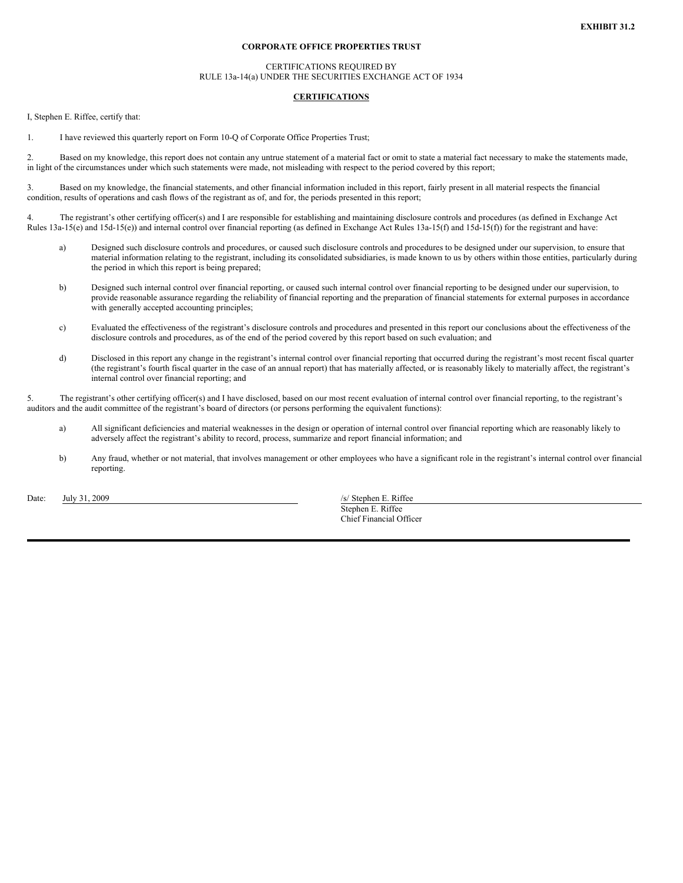### CERTIFICATIONS REQUIRED BY RULE 13a-14(a) UNDER THE SECURITIES EXCHANGE ACT OF 1934

#### **CERTIFICATIONS**

I, Stephen E. Riffee, certify that:

1. I have reviewed this quarterly report on Form 10-Q of Corporate Office Properties Trust;

2. Based on my knowledge, this report does not contain any untrue statement of a material fact or omit to state a material fact necessary to make the statements made, in light of the circumstances under which such statements were made, not misleading with respect to the period covered by this report;

3. Based on my knowledge, the financial statements, and other financial information included in this report, fairly present in all material respects the financial condition, results of operations and cash flows of the registrant as of, and for, the periods presented in this report;

4. The registrant's other certifying officer(s) and I are responsible for establishing and maintaining disclosure controls and procedures (as defined in Exchange Act Rules 13a-15(e) and 15d-15(e)) and internal control over financial reporting (as defined in Exchange Act Rules 13a-15(f) and 15d-15(f)) for the registrant and have:

- a) Designed such disclosure controls and procedures, or caused such disclosure controls and procedures to be designed under our supervision, to ensure that material information relating to the registrant, including its consolidated subsidiaries, is made known to us by others within those entities, particularly during the period in which this report is being prepared;
- b) Designed such internal control over financial reporting, or caused such internal control over financial reporting to be designed under our supervision, to provide reasonable assurance regarding the reliability of financial reporting and the preparation of financial statements for external purposes in accordance with generally accepted accounting principles;
- c) Evaluated the effectiveness of the registrant's disclosure controls and procedures and presented in this report our conclusions about the effectiveness of the disclosure controls and procedures, as of the end of the period covered by this report based on such evaluation; and
- d) Disclosed in this report any change in the registrant's internal control over financial reporting that occurred during the registrant's most recent fiscal quarter (the registrant's fourth fiscal quarter in the case of an annual report) that has materially affected, or is reasonably likely to materially affect, the registrant's internal control over financial reporting; and

5. The registrant's other certifying officer(s) and I have disclosed, based on our most recent evaluation of internal control over financial reporting, to the registrant's auditors and the audit committee of the registrant's board of directors (or persons performing the equivalent functions):

- a) All significant deficiencies and material weaknesses in the design or operation of internal control over financial reporting which are reasonably likely to adversely affect the registrant's ability to record, process, summarize and report financial information; and
- b) Any fraud, whether or not material, that involves management or other employees who have a significant role in the registrant's internal control over financial reporting.

Date: July 31, 2009 /s/ Stephen E. Riffee

Stephen E. Riffee Chief Financial Officer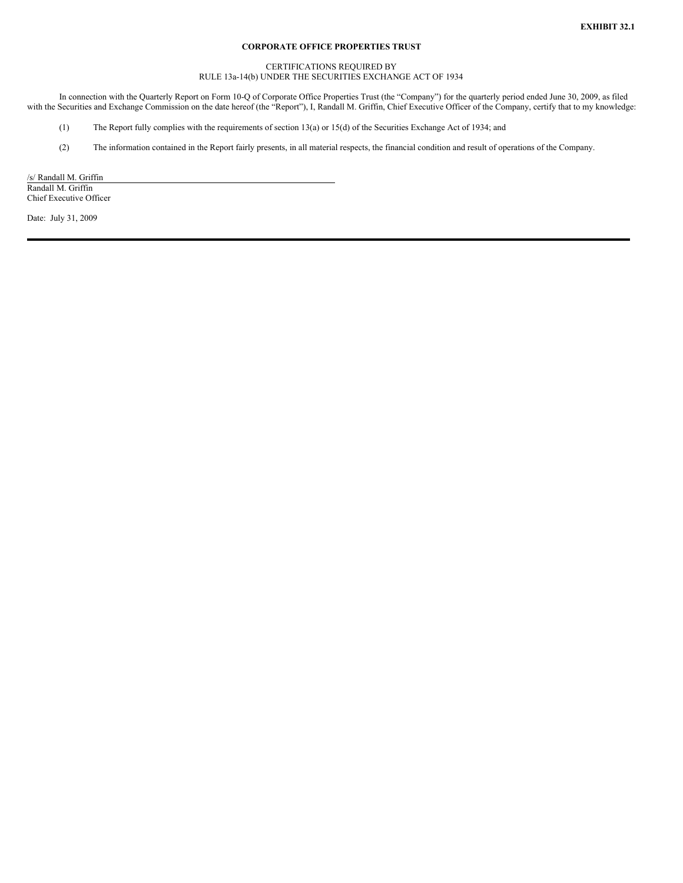### CERTIFICATIONS REQUIRED BY RULE 13a-14(b) UNDER THE SECURITIES EXCHANGE ACT OF 1934

In connection with the Quarterly Report on Form 10-Q of Corporate Office Properties Trust (the "Company") for the quarterly period ended June 30, 2009, as filed with the Securities and Exchange Commission on the date hereof (the "Report"), I, Randall M. Griffin, Chief Executive Officer of the Company, certify that to my knowledge:

(1) The Report fully complies with the requirements of section 13(a) or 15(d) of the Securities Exchange Act of 1934; and

(2) The information contained in the Report fairly presents, in all material respects, the financial condition and result of operations of the Company.

/s/ Randall M. Griffin Randall M. Griffin Chief Executive Officer

Date: July 31, 2009